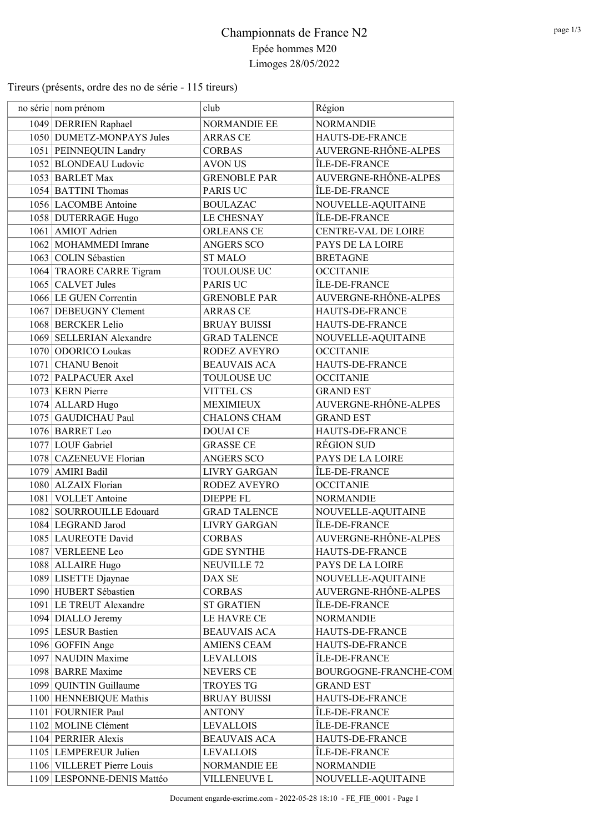Tireurs (présents, ordre des no de série - 115 tireurs)

| no série nom prénom        | club                | Région                |
|----------------------------|---------------------|-----------------------|
| 1049 DERRIEN Raphael       | NORMANDIE EE        | <b>NORMANDIE</b>      |
| 1050 DUMETZ-MONPAYS Jules  | <b>ARRAS CE</b>     | HAUTS-DE-FRANCE       |
| 1051 PEINNEQUIN Landry     | <b>CORBAS</b>       | AUVERGNE-RHÔNE-ALPES  |
| 1052 BLONDEAU Ludovic      | <b>AVON US</b>      | ÎLE-DE-FRANCE         |
| 1053 BARLET Max            | <b>GRENOBLE PAR</b> | AUVERGNE-RHÔNE-ALPES  |
| 1054 BATTINI Thomas        | PARIS UC            | ÎLE-DE-FRANCE         |
| 1056 LACOMBE Antoine       | <b>BOULAZAC</b>     | NOUVELLE-AQUITAINE    |
| 1058 DUTERRAGE Hugo        | LE CHESNAY          | ÎLE-DE-FRANCE         |
| 1061   AMIOT Adrien        | <b>ORLEANS CE</b>   | CENTRE-VAL DE LOIRE   |
| 1062 MOHAMMEDI Imrane      | <b>ANGERS SCO</b>   | PAYS DE LA LOIRE      |
| 1063 COLIN Sébastien       | <b>ST MALO</b>      | <b>BRETAGNE</b>       |
| 1064 TRAORE CARRE Tigram   | <b>TOULOUSE UC</b>  | <b>OCCITANIE</b>      |
| $1065$ CALVET Jules        | PARIS UC            | ÎLE-DE-FRANCE         |
| 1066 LE GUEN Correntin     | <b>GRENOBLE PAR</b> | AUVERGNE-RHÔNE-ALPES  |
| 1067 DEBEUGNY Clement      | <b>ARRAS CE</b>     | HAUTS-DE-FRANCE       |
| 1068 BERCKER Lelio         | <b>BRUAY BUISSI</b> | HAUTS-DE-FRANCE       |
| 1069 SELLERIAN Alexandre   | <b>GRAD TALENCE</b> | NOUVELLE-AQUITAINE    |
| 1070 ODORICO Loukas        | RODEZ AVEYRO        | <b>OCCITANIE</b>      |
| 1071 CHANU Benoit          | <b>BEAUVAIS ACA</b> | HAUTS-DE-FRANCE       |
| 1072 PALPACUER Axel        | <b>TOULOUSE UC</b>  | <b>OCCITANIE</b>      |
| 1073 KERN Pierre           | VITTEL CS           | <b>GRAND EST</b>      |
| 1074 ALLARD Hugo           | <b>MEXIMIEUX</b>    | AUVERGNE-RHÔNE-ALPES  |
| 1075 GAUDICHAU Paul        | <b>CHALONS CHAM</b> | <b>GRAND EST</b>      |
| 1076 BARRET Leo            | <b>DOUAI CE</b>     | HAUTS-DE-FRANCE       |
| 1077 LOUF Gabriel          | <b>GRASSE CE</b>    | <b>RÉGION SUD</b>     |
| 1078 CAZENEUVE Florian     | <b>ANGERS SCO</b>   | PAYS DE LA LOIRE      |
| 1079 AMIRI Badil           | <b>LIVRY GARGAN</b> | ÎLE-DE-FRANCE         |
| 1080 ALZAIX Florian        | RODEZ AVEYRO        | <b>OCCITANIE</b>      |
| 1081 VOLLET Antoine        | <b>DIEPPE FL</b>    | <b>NORMANDIE</b>      |
| 1082 SOURROUILLE Edouard   | <b>GRAD TALENCE</b> | NOUVELLE-AQUITAINE    |
| 1084 LEGRAND Jarod         | <b>LIVRY GARGAN</b> | ÎLE-DE-FRANCE         |
| 1085 LAUREOTE David        | <b>CORBAS</b>       | AUVERGNE-RHÔNE-ALPES  |
| 1087 VERLEENE Leo          | <b>GDE SYNTHE</b>   | HAUTS-DE-FRANCE       |
| 1088 ALLAIRE Hugo          | <b>NEUVILLE 72</b>  | PAYS DE LA LOIRE      |
| 1089 LISETTE Djaynae       | DAX SE              | NOUVELLE-AQUITAINE    |
| 1090 HUBERT Sébastien      | <b>CORBAS</b>       | AUVERGNE-RHÔNE-ALPES  |
| 1091 LE TREUT Alexandre    | <b>ST GRATIEN</b>   | ÎLE-DE-FRANCE         |
| 1094 DIALLO Jeremy         | LE HAVRE CE         | <b>NORMANDIE</b>      |
| 1095 LESUR Bastien         | <b>BEAUVAIS ACA</b> | HAUTS-DE-FRANCE       |
| 1096 GOFFIN Ange           | <b>AMIENS CEAM</b>  | HAUTS-DE-FRANCE       |
| 1097 NAUDIN Maxime         | <b>LEVALLOIS</b>    | ÎLE-DE-FRANCE         |
| 1098 BARRE Maxime          | NEVERS CE           | BOURGOGNE-FRANCHE-COM |
| 1099 QUINTIN Guillaume     | <b>TROYES TG</b>    | <b>GRAND EST</b>      |
| 1100 HENNEBIQUE Mathis     | <b>BRUAY BUISSI</b> | HAUTS-DE-FRANCE       |
| 1101 FOURNIER Paul         | <b>ANTONY</b>       | ÎLE-DE-FRANCE         |
| 1102 MOLINE Clément        | <b>LEVALLOIS</b>    | ÎLE-DE-FRANCE         |
| 1104 PERRIER Alexis        | <b>BEAUVAIS ACA</b> | HAUTS-DE-FRANCE       |
| 1105 LEMPEREUR Julien      | <b>LEVALLOIS</b>    | ÎLE-DE-FRANCE         |
| 1106 VILLERET Pierre Louis | NORMANDIE EE        | <b>NORMANDIE</b>      |
| 1109 LESPONNE-DENIS Mattéo | VILLENEUVE L        | NOUVELLE-AQUITAINE    |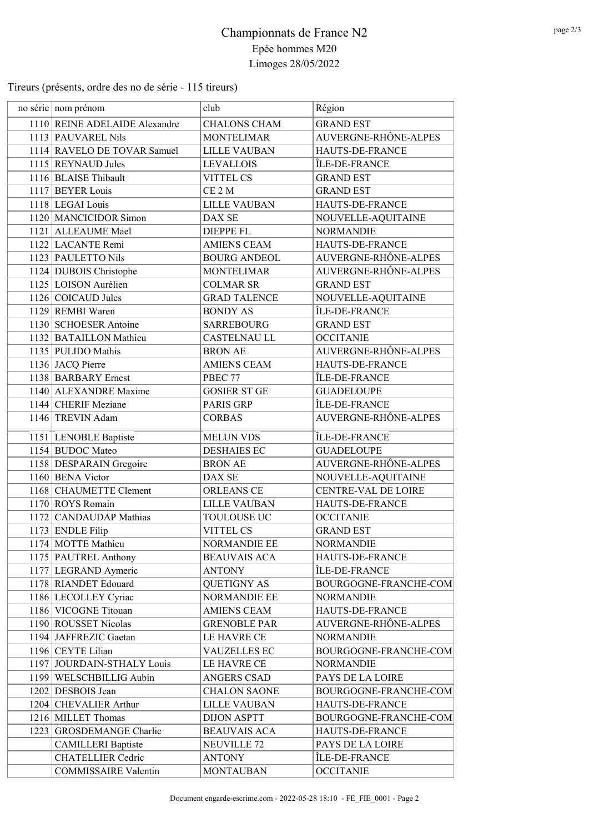Tireurs (présents, ordre des no de série - 115 tireurs)

| no série nom prénom           | club                | Région                     |
|-------------------------------|---------------------|----------------------------|
| 1110 REINE ADELAIDE Alexandre | <b>CHALONS CHAM</b> | <b>GRAND EST</b>           |
| 1113   PAUVAREL Nils          | <b>MONTELIMAR</b>   | AUVERGNE-RHÔNE-ALPES       |
| 1114 RAVELO DE TOVAR Samuel   | <b>LILLE VAUBAN</b> | HAUTS-DE-FRANCE            |
| 1115 REYNAUD Jules            | <b>LEVALLOIS</b>    | ÎLE-DE-FRANCE              |
| 1116 BLAISE Thibault          | <b>VITTEL CS</b>    | <b>GRAND EST</b>           |
| 1117 BEYER Louis              | CE <sub>2</sub> M   | <b>GRAND EST</b>           |
| 1118 LEGAI Louis              | <b>LILLE VAUBAN</b> | HAUTS-DE-FRANCE            |
| 1120 MANCICIDOR Simon         | DAX SE              | NOUVELLE-AQUITAINE         |
| 1121 ALLEAUME Mael            | <b>DIEPPE FL</b>    | <b>NORMANDIE</b>           |
| 1122 LACANTE Remi             | <b>AMIENS CEAM</b>  | HAUTS-DE-FRANCE            |
| 1123 PAULETTO Nils            | <b>BOURG ANDEOL</b> | AUVERGNE-RHÔNE-ALPES       |
| 1124 DUBOIS Christophe        | <b>MONTELIMAR</b>   | AUVERGNE-RHÔNE-ALPES       |
| 1125 LOISON Aurélien          | <b>COLMAR SR</b>    | <b>GRAND EST</b>           |
| 1126 COICAUD Jules            | <b>GRAD TALENCE</b> | NOUVELLE-AQUITAINE         |
| 1129 REMBI Waren              | <b>BONDY AS</b>     | ÎLE-DE-FRANCE              |
| 1130 SCHOESER Antoine         | <b>SARREBOURG</b>   | <b>GRAND EST</b>           |
| 1132 BATAILLON Mathieu        | <b>CASTELNAU LL</b> | <b>OCCITANIE</b>           |
| 1135 PULIDO Mathis            | <b>BRON AE</b>      | AUVERGNE-RHÔNE-ALPES       |
| 1136 JACQ Pierre              | <b>AMIENS CEAM</b>  | HAUTS-DE-FRANCE            |
| 1138 BARBARY Ernest           | PBEC 77             | ÎLE-DE-FRANCE              |
| 1140 ALEXANDRE Maxime         | <b>GOSIER ST GE</b> | <b>GUADELOUPE</b>          |
| 1144 CHERIF Meziane           | PARIS GRP           | ÎLE-DE-FRANCE              |
| 1146 TREVIN Adam              | <b>CORBAS</b>       | AUVERGNE-RHÔNE-ALPES       |
| 1151 LENOBLE Baptiste         | <b>MELUN VDS</b>    | ÎLE-DE-FRANCE              |
| 1154 BUDOC Mateo              | <b>DESHAIES EC</b>  | <b>GUADELOUPE</b>          |
| 1158 DESPARAIN Gregoire       | <b>BRON AE</b>      | AUVERGNE-RHÔNE-ALPES       |
| 1160 BENA Victor              | DAX SE              | NOUVELLE-AQUITAINE         |
| 1168 CHAUMETTE Clement        | <b>ORLEANS CE</b>   | <b>CENTRE-VAL DE LOIRE</b> |
| 1170 ROYS Romain              | <b>LILLE VAUBAN</b> | HAUTS-DE-FRANCE            |
| 1172 CANDAUDAP Mathias        | <b>TOULOUSE UC</b>  | <b>OCCITANIE</b>           |
| 1173 ENDLE Filip              | <b>VITTEL CS</b>    | <b>GRAND EST</b>           |
| 1174 MOTTE Mathieu            | NORMANDIE EE        | <b>NORMANDIE</b>           |
| 1175   PAUTREL Anthony        | <b>BEAUVAIS ACA</b> | HAUTS-DE-FRANCE            |
| 1177 LEGRAND Aymeric          | <b>ANTONY</b>       | ÎLE-DE-FRANCE              |
| 1178 RIANDET Edouard          | <b>QUETIGNY AS</b>  | BOURGOGNE-FRANCHE-COM      |
| 1186 LECOLLEY Cyriac          | NORMANDIE EE        | <b>NORMANDIE</b>           |
| 1186 VICOGNE Titouan          | <b>AMIENS CEAM</b>  | HAUTS-DE-FRANCE            |
| 1190 ROUSSET Nicolas          | <b>GRENOBLE PAR</b> | AUVERGNE-RHÔNE-ALPES       |
| 1194 JAFFREZIC Gaetan         | LE HAVRE CE         | <b>NORMANDIE</b>           |
| 1196 CEYTE Lilian             | <b>VAUZELLES EC</b> | BOURGOGNE-FRANCHE-COM      |
| 1197 JOURDAIN-STHALY Louis    | LE HAVRE CE         | <b>NORMANDIE</b>           |
| 1199 WELSCHBILLIG Aubin       | ANGERS CSAD         | PAYS DE LA LOIRE           |
| 1202 DESBOIS Jean             | <b>CHALON SAONE</b> | BOURGOGNE-FRANCHE-COM      |
| 1204 CHEVALIER Arthur         | <b>LILLE VAUBAN</b> | HAUTS-DE-FRANCE            |
| 1216 MILLET Thomas            | <b>DIJON ASPTT</b>  | BOURGOGNE-FRANCHE-COM      |
| 1223 GROSDEMANGE Charlie      | <b>BEAUVAIS ACA</b> | <b>HAUTS-DE-FRANCE</b>     |
| <b>CAMILLERI</b> Baptiste     | <b>NEUVILLE 72</b>  | PAYS DE LA LOIRE           |
| <b>CHATELLIER Cedric</b>      | <b>ANTONY</b>       | ÎLE-DE-FRANCE              |
| <b>COMMISSAIRE Valentin</b>   | <b>MONTAUBAN</b>    | <b>OCCITANIE</b>           |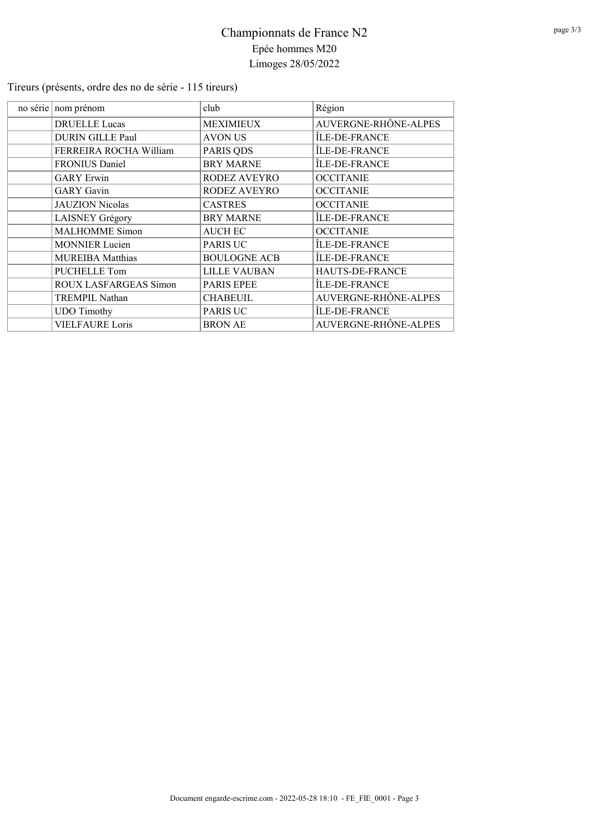Tireurs (présents, ordre des no de série - 115 tireurs)

| no série nom prénom     | club                | Région               |
|-------------------------|---------------------|----------------------|
| <b>DRUELLE Lucas</b>    | MEXIMIEUX           | AUVERGNE-RHÔNE-ALPES |
| <b>DURIN GILLE Paul</b> | AVON US             | ÎLE-DE-FRANCE        |
| FERREIRA ROCHA William  | PARIS QDS           | ÎLE-DE-FRANCE        |
| FRONIUS Daniel          | <b>BRY MARNE</b>    | ÎLE-DE-FRANCE        |
| <b>GARY</b> Erwin       | <b>RODEZ AVEYRO</b> | <b>OCCITANIE</b>     |
| <b>GARY</b> Gavin       | RODEZ AVEYRO        | <b>OCCITANIE</b>     |
| <b>JAUZION</b> Nicolas  | <b>CASTRES</b>      | <b>OCCITANIE</b>     |
| LAISNEY Grégory         | <b>BRY MARNE</b>    | ÎLE-DE-FRANCE        |
| <b>MALHOMME</b> Simon   | <b>AUCH EC</b>      | <b>OCCITANIE</b>     |
| <b>MONNIER Lucien</b>   | <b>PARIS UC</b>     | ÎLE-DE-FRANCE        |
| <b>MUREIBA Matthias</b> | <b>BOULOGNE ACB</b> | ÎLE-DE-FRANCE        |
| <b>PUCHELLE Tom</b>     | <b>LILLE VAUBAN</b> | HAUTS-DE-FRANCE      |
| ROUX LASFARGEAS Simon   | <b>PARIS EPEE</b>   | ÎLE-DE-FRANCE        |
| <b>TREMPIL Nathan</b>   | <b>CHABEUIL</b>     | AUVERGNE-RHÔNE-ALPES |
| <b>UDO</b> Timothy      | PARIS UC            | ÎLE-DE-FRANCE        |
| <b>VIELFAURE Loris</b>  | <b>BRON AE</b>      | AUVERGNE-RHÔNE-ALPES |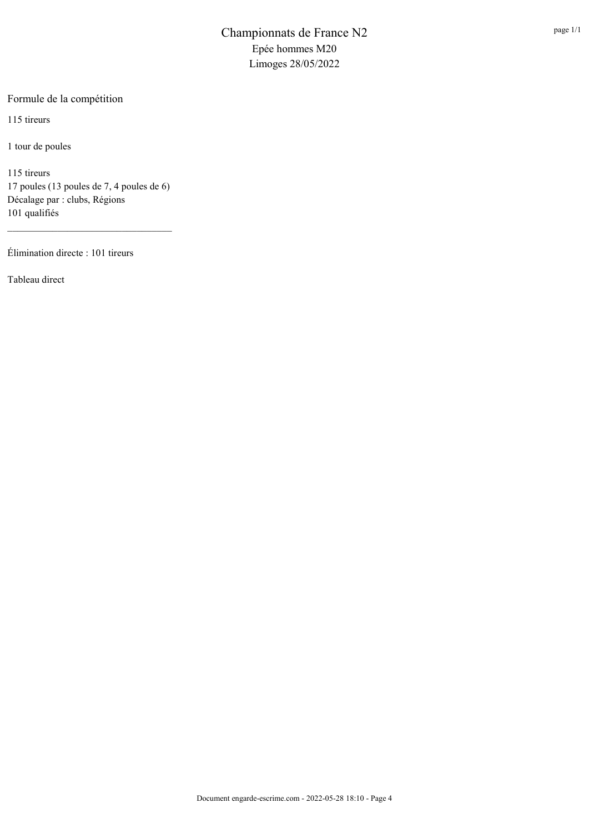Formule de la compétition

115 tireurs

1 tour de poules

115 tireurs 17 poules (13 poules de 7, 4 poules de 6) Décalage par : clubs, Régions 101 qualifiés

Élimination directe : 101 tireurs

Tableau direct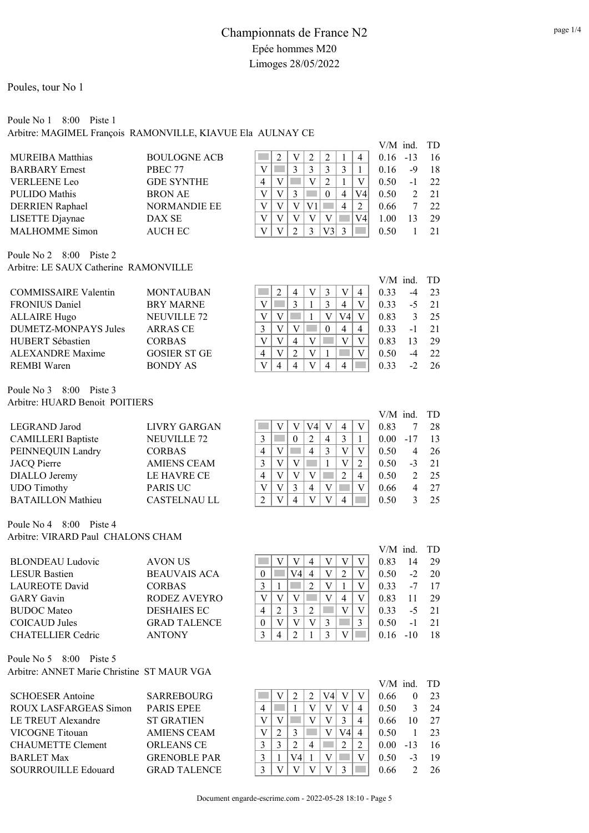#### Poule No 1 8:00 Piste 1

Arbitre: MAGIMEL François RAMONVILLE, KIAVUE Ela AULNAY CE

|                         |                     |   |  |  |   |    |      | $V/M$ ind. $TD$ |    |
|-------------------------|---------------------|---|--|--|---|----|------|-----------------|----|
| <b>MUREIBA Matthias</b> | <b>BOULOGNE ACB</b> |   |  |  |   |    | 0.16 | $-13$           | 16 |
| <b>BARBARY</b> Ernest   | PBEC 77             |   |  |  |   |    | 0.16 | -9              | 18 |
| <b>VERLEENE Leo</b>     | <b>GDE SYNTHE</b>   | 4 |  |  |   |    | 0.50 | - 1             | 22 |
| <b>PULIDO</b> Mathis    | <b>BRON AE</b>      |   |  |  | 4 | V4 | 0.50 |                 | 21 |
| <b>DERRIEN</b> Raphael  | <b>NORMANDIE EE</b> |   |  |  | 4 |    | 0.66 |                 | 22 |
| LISETTE Djaynae         | DAX SE              |   |  |  |   | V4 | 1.00 |                 | 29 |
| <b>MALHOMME Simon</b>   | <b>AUCH EC</b>      |   |  |  |   |    | 0.50 |                 |    |

Poule No 2 8:00 Piste 2 Arbitre: LE SAUX Catherine RAMONVILLE

|                             |                        |          |   |  |     |   | $V/M$ ind. $TD$ |      |     |
|-----------------------------|------------------------|----------|---|--|-----|---|-----------------|------|-----|
| <b>COMMISSAIRE Valentin</b> | <b>MONTAUBAN</b>       |          |   |  |     | 4 | 0.33            | $-4$ | 23  |
| <b>FRONIUS Daniel</b>       | <b>BRY MARNE</b>       |          |   |  |     |   | 0.33            | -5   | 21  |
| <b>ALLAIRE Hugo</b>         | NEUVILLE <sub>72</sub> |          |   |  | V4l |   | 0.83            |      | -25 |
| DUMETZ-MONPAYS Jules        | <b>ARRAS CE</b>        |          |   |  |     | 4 | 0.33            | $-1$ | 21  |
| HUBERT Sébastien            | <b>CORBAS</b>          |          | 4 |  |     |   | 0.83            |      | 29  |
| ALEXANDRE Maxime            | <b>GOSIER ST GE</b>    |          |   |  |     |   | 0.50            |      | 22  |
| REMBI Waren                 | <b>BONDY AS</b>        | $\Delta$ |   |  |     |   |                 |      | 26  |

Poule No 3 8:00 Piste 3 Arbitre: HUARD Benoit POITIERS

| LIVRY GARGAN        |   |  |   |   |   | 0.83 |       | 28   |
|---------------------|---|--|---|---|---|------|-------|------|
| <b>NEUVILLE 72</b>  |   |  |   | 4 |   | 0.00 | $-17$ | 13   |
| <b>CORBAS</b>       | 4 |  | 4 | 2 |   | 0.50 | 4     | 26   |
| <b>AMIENS CEAM</b>  |   |  |   |   |   | 0.50 | $-3$  | 21   |
| LE HAVRE CE         |   |  |   |   |   | 0.50 |       | - 25 |
| <b>PARIS UC</b>     |   |  | 4 |   |   | 0.66 |       | 27   |
| <b>CASTELNAU LL</b> |   |  |   |   | 4 | 0.50 |       | 25   |
|                     |   |  |   |   |   |      |       |      |

Poule No 4 8:00 Piste 4 Arbitre: VIRARD Paul CHALONS CHAM

| <b>BLONDEAU</b> Ludovic | AVON US             |   |    |  |   | 0.83 | 14    | 29 |
|-------------------------|---------------------|---|----|--|---|------|-------|----|
| <b>LESUR Bastien</b>    | <b>BEAUVAIS ACA</b> | 0 | V4 |  |   | 0.50 | $-2$  | 20 |
| LAUREOTE David          | <b>CORBAS</b>       |   |    |  |   | 0.33 | -7    | 17 |
| <b>GARY</b> Gavin       | RODEZ AVEYRO        |   |    |  | 4 | 0.83 |       | 29 |
| <b>BUDOC</b> Mateo      | <b>DESHAIES EC</b>  | 4 |    |  |   | 0.33 | $-5$  | 21 |
| COICAUD Jules           | <b>GRAD TALENCE</b> | 0 |    |  |   | 0.50 | $-1$  | 21 |
| CHATELLIER Cedric       | <b>ANTONY</b>       |   |    |  |   | 0.16 | $-10$ | 18 |
|                         |                     |   |    |  |   |      |       |    |

Poule No 5 8:00 Piste 5 Arbitre: ANNET Marie Christine ST MAUR VGA

| <b>SCHOESER</b> Antoine    | ٢ |
|----------------------------|---|
| ROUX LASFARGEAS Simon      | Ŧ |
| LE TREUT Alexandre         | S |
| VICOGNE Titouan            |   |
| <b>CHAUMETTE Clement</b>   |   |
| <b>BARLET Max</b>          |   |
| <b>SOURROUILLE Edouard</b> |   |

SARREBOURG PARIS EPEE ST GRATIEN AMIENS CEAM ORLEANS CE GRENOBLE PAR GRAD TALENCE

| v | v  | 4 | v | v | v | U.OJ | 14    |
|---|----|---|---|---|---|------|-------|
|   | V4 | 4 | V | 2 | V | 0.50 | -2    |
|   |    | 2 | V |   | V | 0.33 | $-7$  |
| V | V) |   | V |   | V | 0.83 | 11    |
| 2 | 3  | 2 |   | V | V | 0.33 | -5    |
| V |    | V | 3 |   | 3 | 0.50 | - 1   |
|   | 2  |   | 3 | V |   | 0.16 | $-10$ |
|   |    |   |   |   |   |      |       |

V/M ind. TD

V/M ind. TD

|   |   |                |   |    |   |   | $V/M$ ind. |       | TD           |
|---|---|----------------|---|----|---|---|------------|-------|--------------|
|   |   |                | 2 |    |   | V | 0.66       | 0     | 23           |
|   |   |                | V | V) | V | 4 | 0.50       | 3     | 24           |
| V |   |                | V | V  | 3 | 4 | 0.66       | 10    | 27           |
| V |   | 3              |   | V) |   | 4 | 0.50       |       | 23           |
| 3 | 3 | $\mathfrak{D}$ |   |    | 2 | 2 | 0.00       | $-13$ | 16           |
| 3 |   | V4             | 1 | V  |   | v | 0.50       | $-3$  | 19           |
| 3 |   |                |   |    | 3 |   | 0.66       | 2     | $26^{\circ}$ |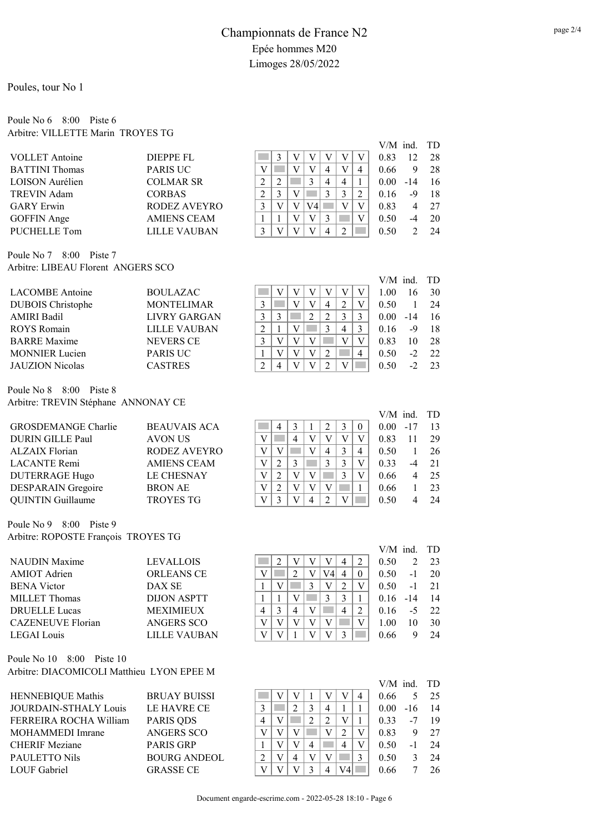#### Poule No 6 8:00 Piste 6 Arbitre: VILLETTE Marin TROYES TG

|                       |                     |   |   |    |          |   |   |                | V/M ind. TD |    |
|-----------------------|---------------------|---|---|----|----------|---|---|----------------|-------------|----|
| <b>VOLLET</b> Antoine | DIEPPE FL           |   |   |    |          |   |   | 0.83           | 12          | 28 |
| <b>BATTINI</b> Thomas | <b>PARIS UC</b>     |   |   |    | 4        |   | 4 | 0.66           | 9           | 28 |
| LOISON Aurélien       | <b>COLMAR SR</b>    | ∍ |   |    | 4        | 4 |   | $0.00^{\circ}$ | $-14$       | 16 |
| TREVIN Adam           | <b>CORBAS</b>       |   | 3 |    |          |   |   | 0.16           | -9          | 18 |
| <b>GARY</b> Erwin     | RODEZ AVEYRO        |   |   | V4 |          |   |   | 0.83           |             | 27 |
| <b>GOFFIN</b> Ange    | <b>AMIENS CEAM</b>  |   |   | V  |          |   |   | 0.50           |             | 20 |
| PUCHELLE Tom          | <b>LILLE VAUBAN</b> |   |   |    | $\Delta$ |   |   | (1.50)         |             | 24 |

Poule No 7 8:00 Piste 7 Arbitre: LIBEAU Florent ANGERS SCO

|                          |                   |   |  |   |   | $V/M$ ind. TD  |       |    |
|--------------------------|-------------------|---|--|---|---|----------------|-------|----|
| <b>LACOMBE</b> Antoine   | <b>BOULAZAC</b>   |   |  |   |   | 1.00           | 16    | 30 |
| <b>DUBOIS</b> Christophe | <b>MONTELIMAR</b> |   |  | 4 | 2 | 0.50           |       | 24 |
| <b>AMIRI Badil</b>       | LIVRY GARGAN      |   |  |   | 3 | $0.00^{\circ}$ | $-14$ | 16 |
| ROYS Romain              | LILLE VAUBAN      | ∍ |  | 3 | 4 | 0.16           | -9    | 18 |
| <b>BARRE</b> Maxime      | <b>NEVERS CE</b>  |   |  |   |   | 0.83           | 10    | 28 |
| <b>MONNIER</b> Lucien    | <b>PARIS UC</b>   |   |  |   |   | 0.50           | $-2$  | 22 |
| <b>JAUZION</b> Nicolas   | <b>CASTRES</b>    | ↑ |  |   |   | 0.50           |       | 23 |

Poule No 8 8:00 Piste 8 Arbitre: TREVIN Stéphane ANNONAY CE

| <b>GROSDEMANGE Charlie</b> | <b>BEAUVAIS ACA</b> |  |   |   |   |  | $0.00 -17$ | 13 |
|----------------------------|---------------------|--|---|---|---|--|------------|----|
| DURIN GILLE Paul           | <b>AVON US</b>      |  | 4 |   |   |  | 0.83       | 29 |
| <b>ALZAIX Florian</b>      | <b>RODEZ AVEYRO</b> |  |   |   |   |  | 0.50       | 26 |
| LACANTE Remi               | <b>AMIENS CEAM</b>  |  |   |   |   |  | 0.33       | 21 |
| <b>DUTERRAGE Hugo</b>      | <b>LE CHESNAY</b>   |  |   |   |   |  | 0.66       | 25 |
| DESPARAIN Gregoire         | <b>BRON AE</b>      |  |   |   |   |  | 0.66       | 23 |
| <b>QUINTIN Guillaume</b>   | <b>TROYES TG</b>    |  |   | Δ | ∍ |  | 0.50       | 24 |
|                            |                     |  |   |   |   |  |            |    |

Poule No 9 8:00 Piste 9 Arbitre: ROPOSTE François TROYES TG

| <b>NAUDIN</b> Maxime     | <b>LEVALLOIS</b>    |  |  |    |          | 0.50 |               | - 23 |
|--------------------------|---------------------|--|--|----|----------|------|---------------|------|
| <b>AMIOT</b> Adrien      | <b>ORLEANS CE</b>   |  |  | ′4 | $\theta$ | 0.50 | $-1$          | 20   |
| <b>BENA</b> Victor       | DAX SE              |  |  |    |          | 0.50 | - 1           | 21   |
| MILLET Thomas            | DLION ASPTT         |  |  |    |          | 0.16 | $-14$         |      |
| <b>DRUELLE Lucas</b>     | <b>MEXIMIEUX</b>    |  |  |    | ↑        | 0.16 | $\rightarrow$ | 22   |
| <b>CAZENEUVE Florian</b> | ANGERS SCO          |  |  |    |          | 1.00 | I ()          | 30   |
| <b>LEGAI</b> Louis       | <b>LILLE VAUBAN</b> |  |  |    |          | 0.66 |               | 24   |
|                          |                     |  |  |    |          |      |               |      |

Poule No 10 8:00 Piste 10 Arbitre: DIACOMICOLI Matthieu LYON EPEE M

BRUAY BUISSI LE HAVRE CE PARIS QDS ANGERS SCO PARIS GRP BOURG ANDEOL GRASSE CE

|                |                | V V V |   |                                 | $\mathbf{V}$  | V      |  |
|----------------|----------------|-------|---|---------------------------------|---------------|--------|--|
|                | $\mathbf{V}$ : |       | V |                                 |               |        |  |
| $\overline{2}$ |                |       |   | $\overline{V}$ $\overline{V}$ 2 | $\mid$ V      |        |  |
|                |                |       |   |                                 |               |        |  |
|                |                |       |   |                                 |               |        |  |
|                |                |       |   |                                 |               |        |  |
|                |                |       |   |                                 |               |        |  |
|                | 4              |       |   | $2^{\circ}$                     | $\mathcal{R}$ | $_{0}$ |  |

|          | $V/M$ ind. |     | TD |
|----------|------------|-----|----|
| $\theta$ | 0.00       | -17 | 13 |
| V        | 0.83       | 11  | 29 |
| 4        | 0.50       | 1   | 26 |
| V        | 0.33       | -4  | 21 |
| V        | 0.66       | 4   | 25 |
| 1        | 0.66       | 1   | 23 |
|          | 0.50       | 4   | 24 |

|   |                | $V/M$ ind. |                | TD |
|---|----------------|------------|----------------|----|
| 4 | 2              | 0.50       | $\overline{c}$ | 23 |
| 4 | 0              | 0.50       | -1             | 20 |
| 2 | V              | 0.50       | -1             | 21 |
| 3 | 1              | 0.16       | -14            | 14 |
| 4 | $\mathfrak{D}$ | 0.16       | -5             | 22 |
|   | V              | 1.00       | 10             | 30 |
| 3 |                | 0.66       | 9              | 24 |
|   |                |            |                |    |

|                |    |   |   |   |   |   | $V/M$ ind. |       | <b>TD</b> |
|----------------|----|---|---|---|---|---|------------|-------|-----------|
|                | V) |   |   |   |   |   | 0.66       |       | 25        |
| 3              |    | 2 | 3 | 4 |   |   | 0.00       | $-16$ | 14        |
|                | V  |   | 2 | 2 | V |   | 0.33       | $-7$  | 19        |
|                | V  | V |   | V | 2 | V | 0.83       | 9     | 27        |
|                | V  | V | 4 |   |   | V | 0.50       | $-1$  | 24        |
| $\mathfrak{D}$ |    | 4 | V |   |   | 3 | 0.50       | 3     | 24        |
|                |    |   | 3 |   |   |   | 0.66       |       | 26.       |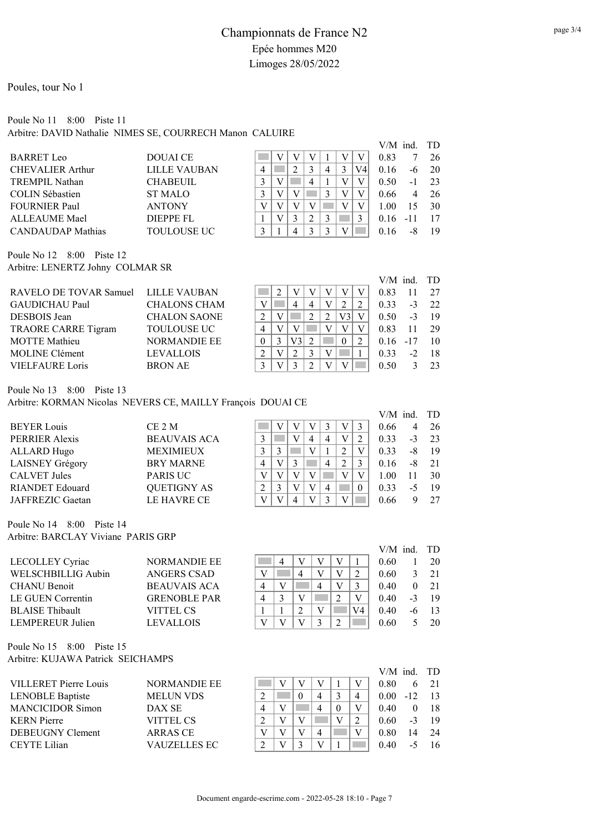# Poule No 11 8:00 Piste 11

Arbitre: DAVID Nathalie NIMES SE, COURRECH Manon CALUIRE

|                          |                     |  |   |  |    |      | V/M ind. TD |    |
|--------------------------|---------------------|--|---|--|----|------|-------------|----|
| <b>BARRET</b> Leo        | <b>DOUALCE</b>      |  |   |  |    | 0.83 |             | 26 |
| <b>CHEVALIER Arthur</b>  | <b>LILLE VAUBAN</b> |  |   |  | V4 | 0.16 | -6          | 20 |
| <b>TREMPIL Nathan</b>    | <b>CHABEUIL</b>     |  | 4 |  |    | 0.50 | -1          | 23 |
| <b>COLIN Sébastien</b>   | <b>ST MALO</b>      |  |   |  |    | 0.66 | 4           | 26 |
| <b>FOURNIER Paul</b>     | <b>ANTONY</b>       |  |   |  |    | 1.00 | 15          | 30 |
| <b>ALLEAUME Mael</b>     | <b>DIEPPE FL</b>    |  |   |  |    | 0.16 | -11         |    |
| <b>CANDAUDAP</b> Mathias | TOULOUSE UC         |  |   |  |    |      |             | 19 |

Poule No 12 8:00 Piste 12 Arbitre: LENERTZ Johny COLMAR SR

|                                     |                     |  |    |   |     | $V/M$ ind. $TD$ |       |     |
|-------------------------------------|---------------------|--|----|---|-----|-----------------|-------|-----|
| RAVELO DE TOVAR Samuel LILLE VAUBAN |                     |  |    |   |     | 0.83            | 11    | 27  |
| <b>GAUDICHAU Paul</b>               | <b>CHALONS CHAM</b> |  |    | 4 |     | 0.33            | $-3$  | 22  |
| DESBOIS Jean                        | <b>CHALON SAONE</b> |  |    |   | V31 | 0.50            | $-3$  | -19 |
| TRAORE CARRE Tigram                 | <b>TOULOUSE UC</b>  |  |    |   |     | 0.83            | 11    | 29  |
| <b>MOTTE</b> Mathieu                | <b>NORMANDIE EE</b> |  | V3 |   |     | 0.16            | $-17$ | 10  |
| <b>MOLINE Clément</b>               | <b>LEVALLOIS</b>    |  |    |   |     | 0.33            | $-2$  | -18 |
| <b>VIELFAURE Loris</b>              | <b>BRON AE</b>      |  |    |   |     | 0.50            |       | 23  |

Poule No 13 8:00 Piste 13

Arbitre: KORMAN Nicolas NEVERS CE, MAILLY François DOUAI CE

|                        |                     |   |  |   |   |          | $V/M$ ind. $TD$ |    |    |
|------------------------|---------------------|---|--|---|---|----------|-----------------|----|----|
| <b>BEYER Louis</b>     | CE 2 M              |   |  |   |   |          | 0.66            | 4  | 26 |
| PERRIER Alexis         | <b>BEAUVAIS ACA</b> |   |  | 4 |   |          | 0.33            | -3 | 23 |
| <b>ALLARD</b> Hugo     | <b>MEXIMIEUX</b>    |   |  |   |   |          | 0.33            | -8 | 19 |
| LAISNEY Grégory        | <b>BRY MARNE</b>    | 4 |  |   | 4 |          | 0.16            | -8 | 21 |
| <b>CALVET Jules</b>    | <b>PARIS UC</b>     |   |  |   |   |          | 1.00            |    | 30 |
| <b>RIANDET Edouard</b> | <b>QUETIGNY AS</b>  |   |  |   |   | $\theta$ | 0.33            | -5 | 19 |
| JAFFREZIC Gaetan       | LE HAVRE CE         |   |  |   |   |          | 0.66            |    | 27 |
|                        |                     |   |  |   |   |          |                 |    |    |

Poule No 14 8:00 Piste 14 Arbitre: BARCLAY Viviane PARIS GRP

|                        |                     |   |   |  |    | $V/M$ ind. $TD$ |               |         |
|------------------------|---------------------|---|---|--|----|-----------------|---------------|---------|
| LECOLLEY Cyriac        | <b>NORMANDIE EE</b> |   |   |  |    | 0.60            |               | 20      |
| WELSCHBILLIG Aubin     | ANGERS CSAD         |   | 4 |  |    | 0.60            | $\mathcal{F}$ | 21      |
| <b>CHANU Benoit</b>    | <b>BEAUVAIS ACA</b> |   |   |  |    | 0.40            |               | 21      |
| LE GUEN Correntin      | <b>GRENOBLE PAR</b> | 4 |   |  |    | 0.40            |               | $-3$ 19 |
| <b>BLAISE</b> Thibault | VITTEL CS           |   | ∍ |  | V4 | 0.40            | -6            |         |
| LEMPEREUR Julien       | <b>LEVALLOIS</b>    |   |   |  |    | 0.60            |               | 20      |

Poule No 15 8:00 Piste 15 Arbitre: KUJAWA Patrick SEICHAMPS

|                         |                     |  |   |   | $V/M$ ind. $TD$ |       |      |
|-------------------------|---------------------|--|---|---|-----------------|-------|------|
| VILLERET Pierre Louis   | <b>NORMANDIE EE</b> |  |   | V | $0.80^{\circ}$  |       | - 21 |
| <b>LENOBLE Baptiste</b> | <b>MELUN VDS</b>    |  | 4 | 4 | $0.00 -$        | $-12$ | 13   |
| <b>MANCICIDOR Simon</b> | DAX SE              |  | 4 | V | 0.40            |       | 18   |
| <b>KERN</b> Pierre      | VITTEL CS           |  |   |   | 0.60            |       | -19  |
| DEBEUGNY Clement        | ARRAS CE            |  | 4 |   | 0.80            | 14    | 2.4  |
| <b>CEYTE Lilian</b>     | VAUZELLES EC-       |  |   |   | 0.40            |       | -16  |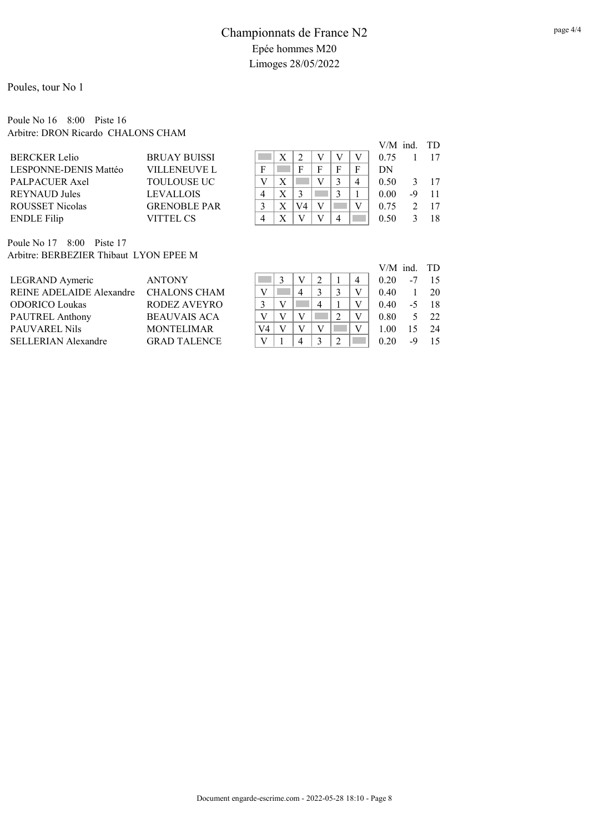#### Poule No 16 8:00 Piste 16 Arbitre: DRON Ricardo CHALONS CHAM

|                        |                     |   |    |   |   |   | $V/M$ ind. $TD$ |    |              |
|------------------------|---------------------|---|----|---|---|---|-----------------|----|--------------|
| <b>BERCKER Lelio</b>   | <b>BRUAY BUISSI</b> |   | ŋ  |   |   |   | 0.75            |    | 17           |
| LESPONNE-DENIS Mattéo  | <b>VILLENEUVE L</b> | F | F  | F | F | F | DN              |    |              |
| PALPACUER Axel         | <b>TOULOUSE UC</b>  |   |    |   |   | 4 | 0.50            |    | $3 \quad 17$ |
| <b>REYNAUD Jules</b>   | <b>LEVALLOIS</b>    | 4 |    |   |   |   | 0.00            | -9 | 11           |
| <b>ROUSSET Nicolas</b> | <b>GRENOBLE PAR</b> |   | V4 |   |   |   | 0.75            |    | 17           |
| <b>ENDLE</b> Filip     | <b>VITTEL CS</b>    | Δ |    |   |   |   | 0.50            |    | 18           |
|                        |                     |   |    |   |   |   |                 |    |              |

Poule No 17 8:00 Piste 17 Arbitre: BERBEZIER Thibaut LYON EPEE M

|                                       |                     |    |  |   |   | $V/M$ ind. $TD$ |      |               |
|---------------------------------------|---------------------|----|--|---|---|-----------------|------|---------------|
| LEGRAND Aymeric                       | <b>ANTONY</b>       |    |  |   | 4 | 0.20            | -7   |               |
| REINE ADELAIDE Alexandre CHALONS CHAM |                     |    |  |   |   | 0.40            |      | -20           |
| <b>ODORICO Loukas</b>                 | RODEZ AVEYRO        |    |  | 4 |   | 0.40            | $-5$ | - 18          |
| PAUTREL Anthony                       | <b>BEAUVAIS ACA</b> |    |  |   |   | $0.80^{\circ}$  |      | $5 \t22$      |
| PAUVAREL Nils                         | <b>MONTELIMAR</b>   | V4 |  |   |   | 1.00            |      | $15 \quad 24$ |
| SELLERIAN Alexandre                   | <b>GRAD TALENCE</b> |    |  |   |   | 0.20            | -9   |               |
|                                       |                     |    |  |   |   |                 |      |               |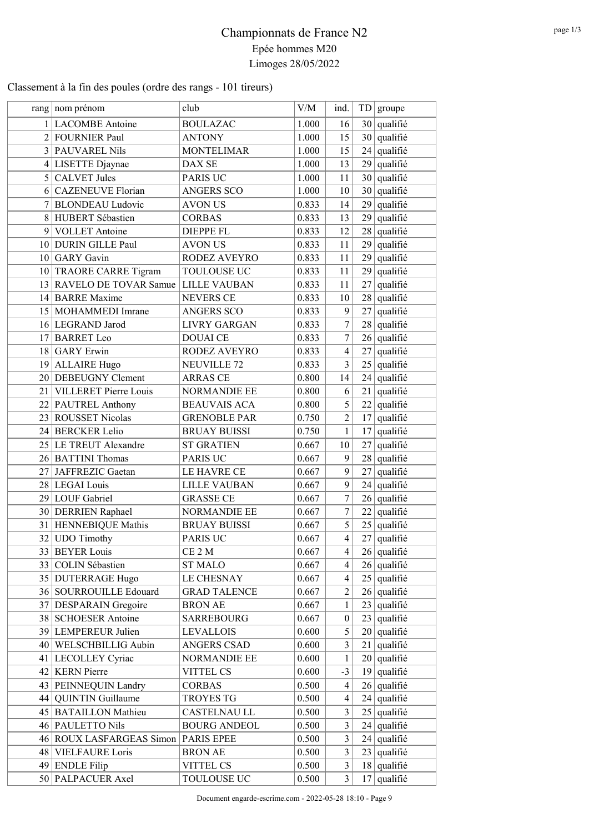## Classement à la fin des poules (ordre des rangs - 101 tireurs)

|   | rang   nom prénom        | club                | ${\rm V/M}$ | ind.             |    | TD groupe     |
|---|--------------------------|---------------------|-------------|------------------|----|---------------|
|   | 1 LACOMBE Antoine        | <b>BOULAZAC</b>     | 1.000       | 16               |    | $30$ qualifié |
|   | 2 FOURNIER Paul          | <b>ANTONY</b>       | 1.000       | 15               |    | $30$ qualifié |
|   | 3 PAUVAREL Nils          | <b>MONTELIMAR</b>   | 1.000       | 15               |    | $24$ qualifié |
|   | 4 LISETTE Djaynae        | DAX SE              | 1.000       | 13               |    | $29$ qualifié |
|   | $5$ CALVET Jules         | <b>PARIS UC</b>     | 1.000       | 11               |    | $30$ qualifié |
|   | 6 CAZENEUVE Florian      | <b>ANGERS SCO</b>   | 1.000       | 10               |    | 30 qualifié   |
|   | 7 BLONDEAU Ludovic       | <b>AVON US</b>      | 0.833       | 14               |    | $29$ qualifié |
|   | 8 HUBERT Sébastien       | <b>CORBAS</b>       | 0.833       | 13               | 29 | qualifié      |
| 9 | <b>VOLLET</b> Antoine    | <b>DIEPPE FL</b>    | 0.833       | 12               |    | $28$ qualifié |
|   | 10 DURIN GILLE Paul      | <b>AVON US</b>      | 0.833       | 11               | 29 | qualifié      |
|   | $10$ GARY Gavin          | RODEZ AVEYRO        | 0.833       | 11               |    | $29$ qualifié |
|   | 10 TRAORE CARRE Tigram   | TOULOUSE UC         | 0.833       | 11               | 29 | qualifié      |
|   | 13 RAVELO DE TOVAR Samue | <b>LILLE VAUBAN</b> | 0.833       | 11               | 27 | qualifié      |
|   | 14 BARRE Maxime          | <b>NEVERS CE</b>    | 0.833       | 10               |    | $28$ qualifié |
|   | 15 MOHAMMEDI Imrane      | <b>ANGERS SCO</b>   | 0.833       | 9                |    | $27$ qualifié |
|   | 16 LEGRAND Jarod         | <b>LIVRY GARGAN</b> | 0.833       | $\boldsymbol{7}$ |    | $28$ qualifié |
|   | 17 BARRET Leo            | <b>DOUAI CE</b>     | 0.833       | 7                |    | $26$ qualifié |
|   | 18 GARY Erwin            | RODEZ AVEYRO        | 0.833       | $\overline{4}$   | 27 | qualifié      |
|   | 19 ALLAIRE Hugo          | <b>NEUVILLE 72</b>  | 0.833       | $\overline{3}$   |    | $25$ qualifié |
|   | 20 DEBEUGNY Clement      | <b>ARRAS CE</b>     | 0.800       | 14               |    | $24$ qualifié |
|   | 21 VILLERET Pierre Louis | NORMANDIE EE        | 0.800       | 6                |    | $21$ qualifié |
|   | 22 PAUTREL Anthony       | <b>BEAUVAIS ACA</b> | 0.800       | 5                |    | $22$ qualifié |
|   | 23 ROUSSET Nicolas       | <b>GRENOBLE PAR</b> | 0.750       | $\overline{2}$   |    | $17$ qualifié |
|   | 24 BERCKER Lelio         | <b>BRUAY BUISSI</b> | 0.750       | $\mathbf{1}$     | 17 | qualifié      |
|   | 25 LE TREUT Alexandre    | <b>ST GRATIEN</b>   | 0.667       | 10               | 27 | qualifié      |
|   | 26 BATTINI Thomas        | <b>PARIS UC</b>     | 0.667       | 9                | 28 | qualifié      |
|   | 27 JAFFREZIC Gaetan      | LE HAVRE CE         | 0.667       | 9                | 27 | qualifié      |
|   | 28 LEGAI Louis           | <b>LILLE VAUBAN</b> | 0.667       | 9                | 24 | qualifié      |
|   | 29 LOUF Gabriel          | <b>GRASSE CE</b>    | 0.667       | 7                |    | $26$ qualifié |
|   | 30 DERRIEN Raphael       | NORMANDIE EE        | 0.667       | $\boldsymbol{7}$ |    | $22$ qualifié |
|   | 31 HENNEBIQUE Mathis     | <b>BRUAY BUISSI</b> | 0.667       | 5                |    | $25$ qualifié |
|   | 32 UDO Timothy           | <b>PARIS UC</b>     | 0.667       | $\overline{4}$   |    | $27$ qualifié |
|   | 33 BEYER Louis           | CE 2 M              | 0.667       | 4                |    | $26$ qualifié |
|   | 33 COLIN Sébastien       | <b>ST MALO</b>      | 0.667       | 4                |    | $26$ qualifié |
|   | 35 DUTERRAGE Hugo        | <b>LE CHESNAY</b>   | 0.667       | 4                |    | $25$ qualifié |
|   | 36 SOURROUILLE Edouard   | <b>GRAD TALENCE</b> | 0.667       | $\overline{2}$   |    | $26$ qualifié |
|   | 37 DESPARAIN Gregoire    | <b>BRON AE</b>      | 0.667       | 1                | 23 | qualifié      |
|   | 38 SCHOESER Antoine      | <b>SARREBOURG</b>   | 0.667       | $\theta$         | 23 | qualifié      |
|   | 39 LEMPEREUR Julien      | <b>LEVALLOIS</b>    | 0.600       | 5                |    | $20$ qualifié |
|   | 40 WELSCHBILLIG Aubin    | ANGERS CSAD         | 0.600       | $\overline{3}$   | 21 | qualifié      |
|   | 41   LECOLLEY Cyriac     | NORMANDIE EE        | 0.600       | 1                |    | $20$ qualifié |
|   | 42 KERN Pierre           | VITTEL CS           | 0.600       | $-3$             |    | $19$ qualifié |
|   | 43 PEINNEQUIN Landry     | <b>CORBAS</b>       | 0.500       | 4                |    | $26$ qualifié |
|   | 44   QUINTIN Guillaume   | <b>TROYES TG</b>    | 0.500       | 4                | 24 | qualifié      |
|   | 45 BATAILLON Mathieu     | CASTELNAU LL        | 0.500       | 3                | 25 | qualifié      |
|   | 46 PAULETTO Nils         | <b>BOURG ANDEOL</b> | 0.500       | 3                | 24 | qualifié      |
|   | 46 ROUX LASFARGEAS Simon | PARIS EPEE          | 0.500       | $\overline{3}$   |    | $24$ qualifié |
|   | 48 VIELFAURE Loris       | <b>BRON AE</b>      | 0.500       | $\overline{3}$   | 23 | qualifié      |
|   | 49 ENDLE Filip           | <b>VITTEL CS</b>    | 0.500       | $\overline{3}$   |    | $18$ qualifié |
|   | 50 PALPACUER Axel        | TOULOUSE UC         | 0.500       | 3                | 17 | qualifié      |
|   |                          |                     |             |                  |    |               |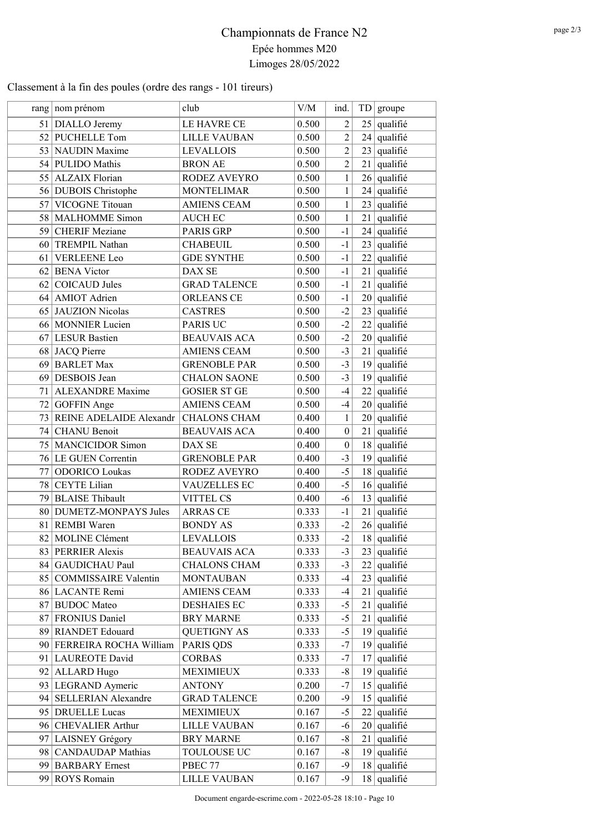### Classement à la fin des poules (ordre des rangs - 101 tireurs)

|                 | rang   nom prénom                          | club                                       | V/M            | ind.             |          | TD groupe                      |
|-----------------|--------------------------------------------|--------------------------------------------|----------------|------------------|----------|--------------------------------|
| 51              | DIALLO Jeremy                              | LE HAVRE CE                                | 0.500          | $\overline{2}$   |          | $25$ qualifié                  |
|                 | 52 PUCHELLE Tom                            | <b>LILLE VAUBAN</b>                        | 0.500          | $\overline{2}$   |          | $24$ qualifié                  |
|                 | 53 NAUDIN Maxime                           | <b>LEVALLOIS</b>                           | 0.500          | $\overline{2}$   |          | $23$ qualifié                  |
|                 | 54 PULIDO Mathis                           | <b>BRON AE</b>                             | 0.500          | $\overline{2}$   |          | $21$ qualifié                  |
|                 | 55 ALZAIX Florian                          | RODEZ AVEYRO                               | 0.500          | 1                |          | $26$ qualifié                  |
|                 | 56 DUBOIS Christophe                       | <b>MONTELIMAR</b>                          | 0.500          | $\mathbf{1}$     |          | $24$ qualifié                  |
| 57              | <b>VICOGNE Titouan</b>                     | <b>AMIENS CEAM</b>                         | 0.500          | $\mathbf{1}$     |          | $23$ qualifié                  |
|                 | 58   MALHOMME Simon                        | <b>AUCH EC</b>                             | 0.500          | $\mathbf{1}$     |          | $21$ qualifié                  |
| 59              | <b>CHERIF</b> Meziane                      | PARIS GRP                                  | 0.500          | $-1$             |          | $24$ qualifié                  |
|                 | 60 TREMPIL Nathan                          | <b>CHABEUIL</b>                            | 0.500          | $-1$             | 23       | qualifié                       |
| 61              | <b>VERLEENE</b> Leo                        | <b>GDE SYNTHE</b>                          | 0.500          | $-1$             |          | $22$ qualifié                  |
|                 | 62 BENA Victor                             | DAX SE                                     | 0.500          | $-1$             |          | $21$ qualifié                  |
| 62              | <b>COICAUD Jules</b>                       | <b>GRAD TALENCE</b>                        | 0.500          | $-1$             |          | $21$ qualifié                  |
|                 | 64 AMIOT Adrien                            | <b>ORLEANS CE</b>                          | 0.500          | $-1$             |          | $20$ qualifié                  |
|                 | 65 JAUZION Nicolas                         | <b>CASTRES</b>                             | 0.500          | $-2$             |          | $23$ qualifié                  |
|                 | 66 MONNIER Lucien                          | PARIS UC                                   | 0.500          | $-2$             |          | $22$ qualifié                  |
|                 | 67 LESUR Bastien                           | <b>BEAUVAIS ACA</b>                        | 0.500          | $-2$             |          | $20$ qualifié                  |
|                 | 68 JACQ Pierre                             | <b>AMIENS CEAM</b>                         | 0.500          | $-3$             | 21       | qualifié                       |
|                 | 69 BARLET Max                              | <b>GRENOBLE PAR</b>                        | 0.500          | $-3$             |          | $19$ qualifié                  |
|                 | 69 DESBOIS Jean                            | <b>CHALON SAONE</b>                        | 0.500          | $-3$             |          | $19$ qualifié                  |
| 71 <sup>1</sup> | <b>ALEXANDRE</b> Maxime                    | <b>GOSIER ST GE</b>                        | 0.500          | $-4$             |          | $22$ qualifié                  |
| 72              | <b>GOFFIN</b> Ange                         | <b>AMIENS CEAM</b>                         | 0.500          | $-4$             |          | $20$ qualifié                  |
|                 | 73 REINE ADELAIDE Alexandr                 | <b>CHALONS CHAM</b>                        | 0.400          | $\mathbf{1}$     |          | $20$ qualifié                  |
| 74              | <b>CHANU</b> Benoit                        | <b>BEAUVAIS ACA</b>                        | 0.400          | $\boldsymbol{0}$ |          | $21$ qualifié                  |
| 75 <sub>1</sub> | <b>MANCICIDOR Simon</b>                    | DAX SE                                     | 0.400          | $\boldsymbol{0}$ |          | $18$ qualifié                  |
|                 | 76 LE GUEN Correntin                       | <b>GRENOBLE PAR</b>                        | 0.400          | $-3$             | 19       | qualifié                       |
| 77              | <b>ODORICO</b> Loukas                      | RODEZ AVEYRO                               | 0.400          | $-5$             |          | $18$ qualifié                  |
| 78              | <b>CEYTE Lilian</b>                        | <b>VAUZELLES EC</b>                        | 0.400          | $-5$             |          | $16$ qualifié                  |
|                 | 79 BLAISE Thibault                         | <b>VITTEL CS</b>                           | 0.400          | $-6$             |          | $13$ qualifié                  |
|                 | 80 DUMETZ-MONPAYS Jules                    | <b>ARRAS CE</b>                            | 0.333          | $-1$             |          | $21$ qualifié                  |
|                 | 81 REMBI Waren                             | <b>BONDY AS</b>                            | 0.333          | $-2$             |          | $26$ qualifié                  |
|                 | 82 MOLINE Clément                          | <b>LEVALLOIS</b>                           | 0.333          | $-2$             |          | $18$ qualifié                  |
|                 |                                            |                                            |                |                  |          |                                |
|                 | 83 PERRIER Alexis<br>84 GAUDICHAU Paul     | <b>BEAUVAIS ACA</b><br><b>CHALONS CHAM</b> | 0.333<br>0.333 | $-3$<br>$-3$     |          | $23$ qualifié<br>$22$ qualifié |
|                 |                                            |                                            |                | $-4$             |          | $23$ qualifié                  |
|                 | 85 COMMISSAIRE Valentin<br>86 LACANTE Remi | <b>MONTAUBAN</b><br><b>AMIENS CEAM</b>     | 0.333          | $-4$             |          |                                |
|                 |                                            |                                            | 0.333          |                  | 21       | qualifié                       |
|                 | 87 BUDOC Mateo<br>FRONIUS Daniel           | <b>DESHAIES EC</b><br><b>BRY MARNE</b>     | 0.333          | $-5$<br>$-5$     | 21<br>21 | qualifié<br>qualifié           |
| 871             |                                            |                                            | 0.333          |                  |          |                                |
|                 | 89 RIANDET Edouard                         | <b>QUETIGNY AS</b>                         | 0.333          | $-5$<br>$-7$     |          | $19$ qualifié                  |
|                 | 90 FERREIRA ROCHA William                  | PARIS QDS                                  | 0.333          |                  | 19       | qualifié                       |
|                 | 91   LAUREOTE David                        | <b>CORBAS</b>                              | 0.333          | $-7$             | 17       | qualifié                       |
|                 | 92 ALLARD Hugo                             | <b>MEXIMIEUX</b>                           | 0.333          | $-8$             | 19       | qualifié                       |
|                 | 93 LEGRAND Aymeric                         | <b>ANTONY</b>                              | 0.200          | $-7$             |          | $15$ qualifié                  |
|                 | 94 SELLERIAN Alexandre                     | <b>GRAD TALENCE</b>                        | 0.200          | $-9$             | 15       | qualifié                       |
|                 | 95 DRUELLE Lucas                           | <b>MEXIMIEUX</b>                           | 0.167          | $-5$             | 22       | qualifié                       |
| 96              | <b>CHEVALIER Arthur</b>                    | <b>LILLE VAUBAN</b>                        | 0.167          | $-6$             |          | $20$ qualifié                  |
|                 | 97 LAISNEY Grégory                         | <b>BRY MARNE</b>                           | 0.167          | $-8$             |          | $21$ qualifié                  |
| 98              | <b>CANDAUDAP</b> Mathias                   | TOULOUSE UC                                | 0.167          | $-8$             | 19       | qualifié                       |
|                 | 99 BARBARY Ernest                          | PBEC 77                                    | 0.167          | $-9$             | 18       | qualifié                       |
| 99              | ROYS Romain                                | LILLE VAUBAN                               | 0.167          | $-9$             | 18       | qualifié                       |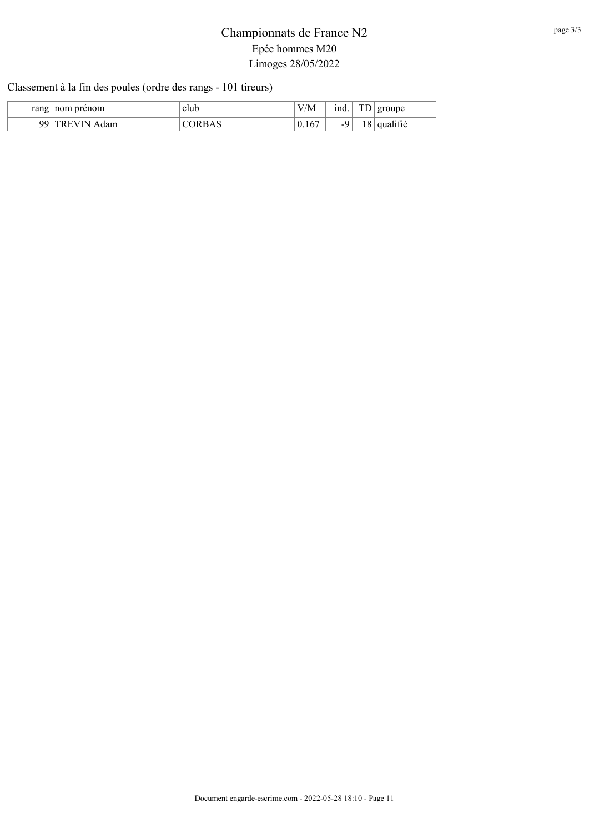### Classement à la fin des poules (ordre des rangs - 101 tireurs)

| rang | nom prenom          | club   | T T I'M<br>V/M | ind.                     | mr. | groupe               |
|------|---------------------|--------|----------------|--------------------------|-----|----------------------|
| 99   | IN<br>dam<br>v<br>H | ∧ א אי | 0.167          | $\overline{\phantom{a}}$ | 1 C | $\cdots$<br>qualifie |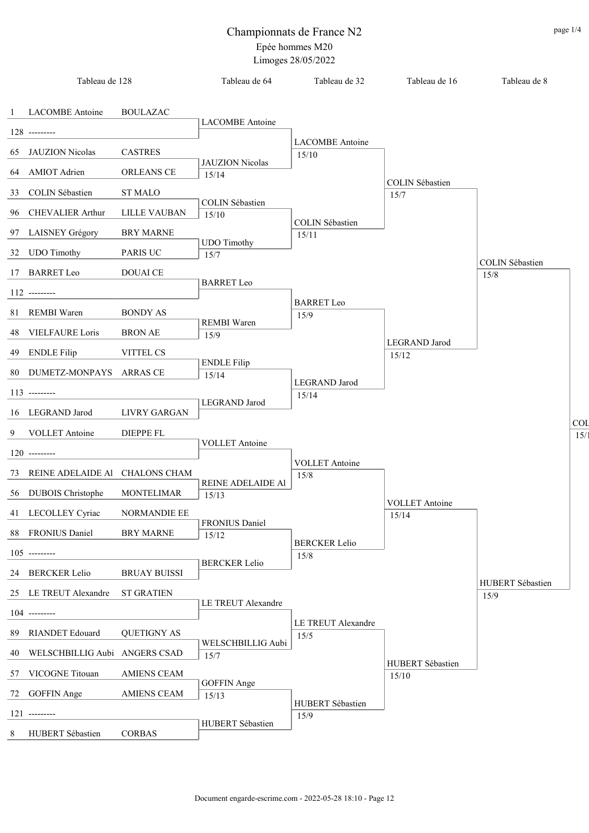J.

i.

J. J.

J.

÷ J.

J.

J.  $\overline{a}$ 

J.  $\overline{a}$ 

J.

| Tableau de 128                    |                     | Tableau de 64               | Tableau de 32                | Tableau de 16             | Tableau de 8              |            |
|-----------------------------------|---------------------|-----------------------------|------------------------------|---------------------------|---------------------------|------------|
| 1 LACOMBE Antoine                 | <b>BOULAZAC</b>     |                             |                              |                           |                           |            |
| 128 ---------                     |                     | <b>LACOMBE</b> Antoine      |                              |                           |                           |            |
| 65 JAUZION Nicolas                | <b>CASTRES</b>      |                             | <b>LACOMBE</b> Antoine       |                           |                           |            |
|                                   |                     | <b>JAUZION</b> Nicolas      | 15/10                        |                           |                           |            |
| 64 AMIOT Adrien                   | ORLEANS CE          | 15/14                       |                              | <b>COLIN Sébastien</b>    |                           |            |
| 33 COLIN Sébastien                | <b>ST MALO</b>      | <b>COLIN Sébastien</b>      |                              | 15/7                      |                           |            |
| 96 CHEVALIER Arthur               | <b>LILLE VAUBAN</b> | 15/10                       | COLIN Sébastien              |                           |                           |            |
| 97 LAISNEY Grégory                | <b>BRY MARNE</b>    |                             | 15/11                        |                           |                           |            |
| 32 UDO Timothy                    | PARIS UC            | <b>UDO</b> Timothy<br>15/7  |                              |                           |                           |            |
| 17 BARRET Leo                     | DOUAI CE            |                             |                              |                           | COLIN Sébastien<br>$15/8$ |            |
| 112 ---------                     |                     | <b>BARRET</b> Leo           |                              |                           |                           |            |
|                                   |                     |                             | <b>BARRET</b> Leo            |                           |                           |            |
| 81 REMBI Waren                    | <b>BONDY AS</b>     | <b>REMBI</b> Waren          | 15/9                         |                           |                           |            |
| 48 VIELFAURE Loris                | <b>BRON AE</b>      | 15/9                        |                              | LEGRAND Jarod             |                           |            |
| 49 ENDLE Filip                    | VITTEL CS           | <b>ENDLE Filip</b>          |                              | 15/12                     |                           |            |
| 80 DUMETZ-MONPAYS ARRAS CE        |                     | 15/14                       |                              |                           |                           |            |
| 113 ---------                     |                     |                             | LEGRAND Jarod<br>15/14       |                           |                           |            |
| 16 LEGRAND Jarod                  | LIVRY GARGAN        | LEGRAND Jarod               |                              |                           |                           |            |
| 9 VOLLET Antoine                  | <b>DIEPPE FL</b>    |                             |                              |                           |                           | <b>COL</b> |
|                                   |                     | <b>VOLLET</b> Antoine       |                              |                           |                           | 15/        |
| 120 ---------                     |                     |                             | <b>VOLLET</b> Antoine        |                           |                           |            |
| 73 REINE ADELAIDE Al CHALONS CHAM |                     | REINE ADELAIDE AI           | 15/8                         |                           |                           |            |
| 56 DUBOIS Christophe              | <b>MONTELIMAR</b>   | 15/13                       |                              | <b>VOLLET</b> Antoine     |                           |            |
| 41 LECOLLEY Cyriac                | <b>NORMANDIE EE</b> |                             |                              | 15/14                     |                           |            |
| 88 FRONIUS Daniel                 | <b>BRY MARNE</b>    | FRONIUS Daniel<br>15/12     |                              |                           |                           |            |
| $105$ ---------                   |                     |                             | <b>BERCKER Lelio</b><br>15/8 |                           |                           |            |
| 24 BERCKER Lelio                  | <b>BRUAY BUISSI</b> | <b>BERCKER Lelio</b>        |                              |                           |                           |            |
|                                   |                     |                             |                              |                           | HUBERT Sébastien          |            |
| 25 LE TREUT Alexandre             | <b>ST GRATIEN</b>   | LE TREUT Alexandre          |                              |                           | 15/9                      |            |
| 104 ---------                     |                     |                             | LE TREUT Alexandre           |                           |                           |            |
| 89 RIANDET Edouard                | <b>QUETIGNY AS</b>  | WELSCHBILLIG Aubi           | 15/5                         |                           |                           |            |
| 40 WELSCHBILLIG Aubi ANGERS CSAD  |                     | 15/7                        |                              |                           |                           |            |
| 57 VICOGNE Titouan                | <b>AMIENS CEAM</b>  |                             |                              | HUBERT Sébastien<br>15/10 |                           |            |
| 72 GOFFIN Ange                    | <b>AMIENS CEAM</b>  | <b>GOFFIN</b> Ange<br>15/13 |                              |                           |                           |            |
| 121 ---------                     |                     |                             | HUBERT Sébastien<br>15/9     |                           |                           |            |
| 8 HUBERT Sébastien                | <b>CORBAS</b>       | HUBERT Sébastien            |                              |                           |                           |            |
|                                   |                     |                             |                              |                           |                           |            |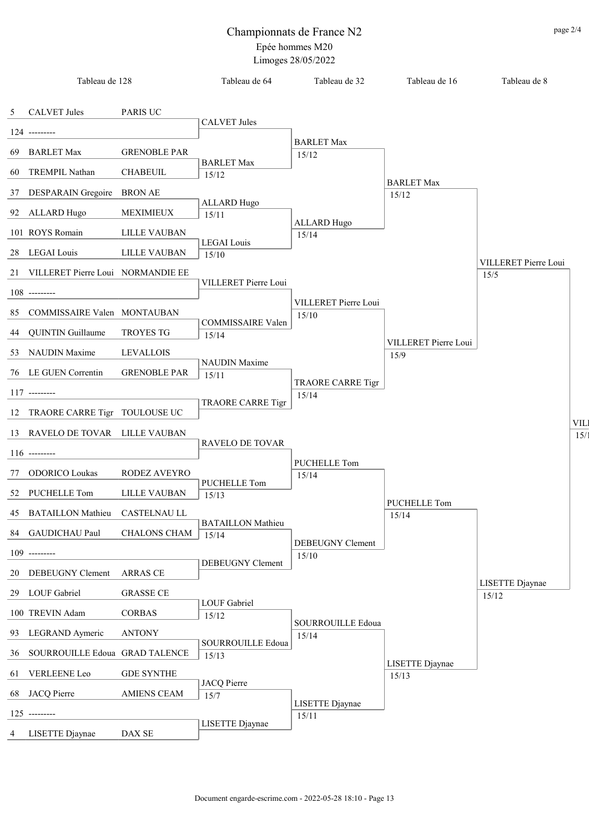|    | Tableau de 128                    |                     | Tableau de 64                | Tableau de 32                     | Tableau de 16        | Tableau de 8                 |                    |
|----|-----------------------------------|---------------------|------------------------------|-----------------------------------|----------------------|------------------------------|--------------------|
| 5  | <b>CALVET Jules</b>               | PARIS UC            |                              |                                   |                      |                              |                    |
|    | $124$ ---------                   |                     | <b>CALVET Jules</b>          |                                   |                      |                              |                    |
| 69 | <b>BARLET Max</b>                 | <b>GRENOBLE PAR</b> |                              | <b>BARLET Max</b>                 |                      |                              |                    |
|    |                                   |                     | <b>BARLET Max</b>            | 15/12                             |                      |                              |                    |
| 60 | TREMPIL Nathan                    | <b>CHABEUIL</b>     | 15/12                        |                                   | <b>BARLET Max</b>    |                              |                    |
| 37 | DESPARAIN Gregoire BRON AE        |                     | <b>ALLARD Hugo</b>           |                                   | 15/12                |                              |                    |
| 92 | ALLARD Hugo                       | MEXIMIEUX           | 15/11                        | <b>ALLARD Hugo</b>                |                      |                              |                    |
|    | 101 ROYS Romain                   | LILLE VAUBAN        | <b>LEGAI</b> Louis           | 15/14                             |                      |                              |                    |
| 28 | LEGAI Louis                       | LILLE VAUBAN        | 15/10                        |                                   |                      |                              |                    |
| 21 | VILLERET Pierre Loui NORMANDIE EE |                     |                              |                                   |                      | VILLERET Pierre Loui<br>15/5 |                    |
|    | $108$ ---------                   |                     | VILLERET Pierre Loui         |                                   |                      |                              |                    |
| 85 | COMMISSAIRE Valen MONTAUBAN       |                     |                              | VILLERET Pierre Loui              |                      |                              |                    |
|    |                                   | <b>TROYES TG</b>    | COMMISSAIRE Valen            | 15/10                             |                      |                              |                    |
| 44 | <b>QUINTIN Guillaume</b>          |                     | 15/14                        |                                   | VILLERET Pierre Loui |                              |                    |
| 53 | <b>NAUDIN</b> Maxime              | <b>LEVALLOIS</b>    | <b>NAUDIN</b> Maxime         |                                   | 15/9                 |                              |                    |
|    | 76 LE GUEN Correntin              | <b>GRENOBLE PAR</b> | 15/11                        | TRAORE CARRE Tigr                 |                      |                              |                    |
|    | $117$ ---------                   |                     | TRAORE CARRE Tigr            | 15/14                             |                      |                              |                    |
| 12 | TRAORE CARRE Tigr TOULOUSE UC     |                     |                              |                                   |                      |                              |                    |
|    | 13 RAVELO DE TOVAR LILLE VAUBAN   |                     |                              |                                   |                      |                              | <b>VIL</b><br>15/3 |
|    | $116$ ---------                   |                     | RAVELO DE TOVAR              |                                   |                      |                              |                    |
| 77 | <b>ODORICO Loukas</b>             | RODEZ AVEYRO        |                              | PUCHELLE Tom<br>15/14             |                      |                              |                    |
| 52 | PUCHELLE Tom                      | LILLE VAUBAN        | <b>PUCHELLE Tom</b>          |                                   |                      |                              |                    |
|    |                                   |                     | 15/13                        |                                   | PUCHELLE Tom         |                              |                    |
|    | 45 BATAILLON Mathieu CASTELNAU LL |                     | <b>BATAILLON</b> Mathieu     |                                   | 15/14                |                              |                    |
|    | 84 GAUDICHAU Paul                 | CHALONS CHAM        | 15/14                        | DEBEUGNY Clement                  |                      |                              |                    |
|    | $109$ ---------                   |                     | DEBEUGNY Clement             | 15/10                             |                      |                              |                    |
| 20 | <b>DEBEUGNY Clement</b>           | ARRAS CE            |                              |                                   |                      | LISETTE Djaynae              |                    |
| 29 | <b>LOUF</b> Gabriel               | <b>GRASSE CE</b>    |                              |                                   |                      | 15/12                        |                    |
|    | 100 TREVIN Adam                   | <b>CORBAS</b>       | <b>LOUF Gabriel</b><br>15/12 |                                   |                      |                              |                    |
| 93 | LEGRAND Aymeric                   | <b>ANTONY</b>       |                              | <b>SOURROUILLE Edoua</b><br>15/14 |                      |                              |                    |
| 36 | SOURROUILLE Edoua GRAD TALENCE    |                     | SOURROUILLE Edoua<br>15/13   |                                   |                      |                              |                    |
| 61 | VERLEENE Leo                      | <b>GDE SYNTHE</b>   |                              |                                   | LISETTE Djaynae      |                              |                    |
|    |                                   |                     | <b>JACQ Pierre</b>           |                                   | 15/13                |                              |                    |
| 68 | JACQ Pierre                       | <b>AMIENS CEAM</b>  | 15/7                         | LISETTE Djaynae                   |                      |                              |                    |
|    | $125$ ---------                   |                     | LISETTE Djaynae              | 15/11                             |                      |                              |                    |
| 4  | LISETTE Djaynae                   | DAX SE              |                              |                                   |                      |                              |                    |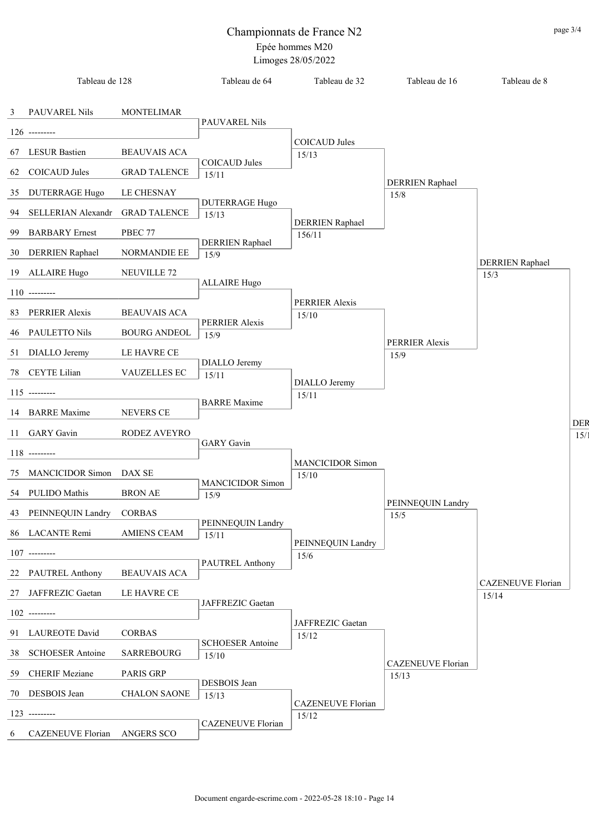|    | Tableau de 128        |                     | Tableau de 64                  | Tableau de 32                    | Tableau de 16             | Tableau de 8             |     |
|----|-----------------------|---------------------|--------------------------------|----------------------------------|---------------------------|--------------------------|-----|
|    | 3 PAUVAREL Nils       | <b>MONTELIMAR</b>   |                                |                                  |                           |                          |     |
|    | $126$ ---------       |                     | PAUVAREL Nils                  |                                  |                           |                          |     |
|    |                       |                     |                                | <b>COICAUD Jules</b>             |                           |                          |     |
|    | 67 LESUR Bastien      | <b>BEAUVAIS ACA</b> | COICAUD Jules                  | 15/13                            |                           |                          |     |
|    | 62 COICAUD Jules      | <b>GRAD TALENCE</b> | 15/11                          |                                  | <b>DERRIEN</b> Raphael    |                          |     |
| 35 | <b>DUTERRAGE Hugo</b> | <b>LE CHESNAY</b>   |                                |                                  | 15/8                      |                          |     |
| 94 | SELLERIAN Alexandr    | <b>GRAD TALENCE</b> | <b>DUTERRAGE Hugo</b><br>15/13 |                                  |                           |                          |     |
| 99 | <b>BARBARY</b> Ernest | PBEC 77             |                                | <b>DERRIEN Raphael</b><br>156/11 |                           |                          |     |
|    | 30 DERRIEN Raphael    | NORMANDIE EE        | <b>DERRIEN</b> Raphael<br>15/9 |                                  |                           |                          |     |
|    | 19 ALLAIRE Hugo       | NEUVILLE 72         |                                |                                  |                           | <b>DERRIEN</b> Raphael   |     |
|    |                       |                     | <b>ALLAIRE Hugo</b>            |                                  |                           | 15/3                     |     |
|    | $110$ ---------       |                     |                                | PERRIER Alexis                   |                           |                          |     |
|    | 83 PERRIER Alexis     | <b>BEAUVAIS ACA</b> | PERRIER Alexis                 | 15/10                            |                           |                          |     |
|    | 46 PAULETTO Nils      | <b>BOURG ANDEOL</b> | 15/9                           |                                  |                           |                          |     |
|    | 51 DIALLO Jeremy      | LE HAVRE CE         |                                |                                  | PERRIER Alexis<br>15/9    |                          |     |
|    | 78 CEYTE Lilian       | VAUZELLES EC        | DIALLO Jeremy<br>15/11         |                                  |                           |                          |     |
|    | $115$ ---------       |                     |                                | DIALLO Jeremy                    |                           |                          |     |
|    | 14 BARRE Maxime       | <b>NEVERS CE</b>    | <b>BARRE</b> Maxime            | 15/11                            |                           |                          |     |
|    |                       |                     |                                |                                  |                           |                          | DEF |
|    | 11 GARY Gavin         | RODEZ AVEYRO        | <b>GARY</b> Gavin              |                                  |                           |                          | 15/ |
|    | $118$ --------        |                     |                                | <b>MANCICIDOR Simon</b>          |                           |                          |     |
|    | 75 MANCICIDOR Simon   | DAX SE              | <b>MANCICIDOR Simon</b>        | 15/10                            |                           |                          |     |
|    | 54 PULIDO Mathis      | <b>BRON AE</b>      | 15/9                           |                                  |                           |                          |     |
|    | 43 PEINNEQUIN Landry  | <b>CORBAS</b>       |                                |                                  | PEINNEQUIN Landry<br>15/5 |                          |     |
|    | 86 LACANTE Remi       | <b>AMIENS CEAM</b>  | PEINNEQUIN Landry<br>15/11     |                                  |                           |                          |     |
|    | $107$ ---------       |                     |                                | PEINNEQUIN Landry<br>15/6        |                           |                          |     |
|    | 22 PAUTREL Anthony    | <b>BEAUVAIS ACA</b> | PAUTREL Anthony                |                                  |                           |                          |     |
|    | 27 JAFFREZIC Gaetan   | LE HAVRE CE         |                                |                                  |                           | <b>CAZENEUVE Florian</b> |     |
|    |                       |                     | JAFFREZIC Gaetan               |                                  |                           | 15/14                    |     |
|    | $102$ ---------       |                     |                                | JAFFREZIC Gaetan                 |                           |                          |     |
|    | 91 LAUREOTE David     | <b>CORBAS</b>       | <b>SCHOESER Antoine</b>        | 15/12                            |                           |                          |     |
|    | 38 SCHOESER Antoine   | <b>SARREBOURG</b>   | 15/10                          |                                  | <b>CAZENEUVE Florian</b>  |                          |     |
|    | 59 CHERIF Meziane     | PARIS GRP           | DESBOIS Jean                   |                                  | 15/13                     |                          |     |
|    | 70 DESBOIS Jean       | <b>CHALON SAONE</b> | 15/13                          |                                  |                           |                          |     |
|    | $123$ ---------       |                     |                                | CAZENEUVE Florian<br>15/12       |                           |                          |     |
| 6  | CAZENEUVE Florian     | <b>ANGERS SCO</b>   | <b>CAZENEUVE Florian</b>       |                                  |                           |                          |     |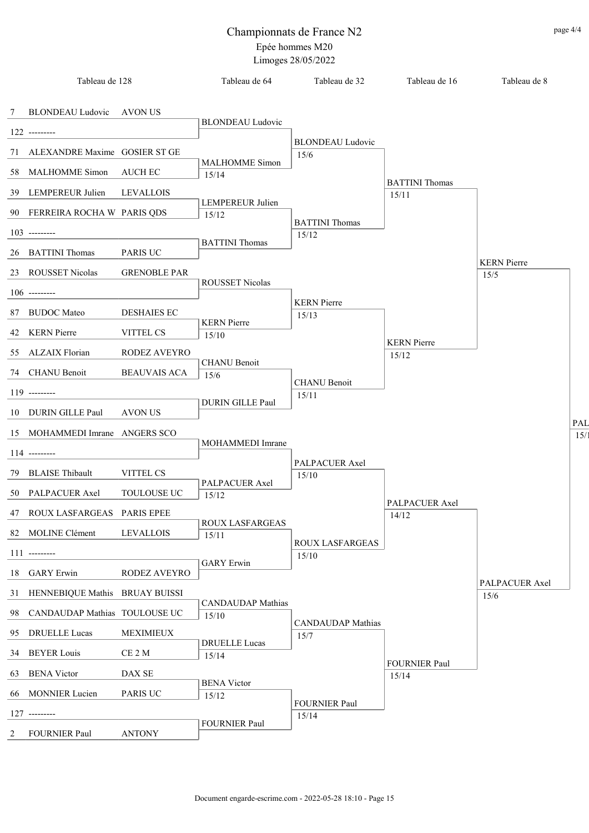|    | Tableau de 128                    |                     | Tableau de 64                     | Tableau de 32                    | Tableau de 16                 | Tableau de 8           |      |
|----|-----------------------------------|---------------------|-----------------------------------|----------------------------------|-------------------------------|------------------------|------|
| 7  | BLONDEAU Ludovic                  | AVON US             | <b>BLONDEAU</b> Ludovic           |                                  |                               |                        |      |
|    | $122$ ---------                   |                     |                                   | <b>BLONDEAU</b> Ludovic          |                               |                        |      |
|    | 71 ALEXANDRE Maxime GOSIER ST GE  |                     |                                   | 15/6                             |                               |                        |      |
|    | 58 MALHOMME Simon                 | <b>AUCH EC</b>      | <b>MALHOMME</b> Simon<br>15/14    |                                  | <b>BATTINI</b> Thomas         |                        |      |
|    | 39 LEMPEREUR Julien               | <b>LEVALLOIS</b>    |                                   |                                  | 15/11                         |                        |      |
|    | 90 FERREIRA ROCHA W PARIS QDS     |                     | LEMPEREUR Julien<br>15/12         | <b>BATTINI</b> Thomas            |                               |                        |      |
|    | $103$ ---------                   |                     |                                   | 15/12                            |                               |                        |      |
|    | 26 BATTINI Thomas                 | PARIS UC            | <b>BATTINI</b> Thomas             |                                  |                               | <b>KERN</b> Pierre     |      |
|    | 23 ROUSSET Nicolas                | <b>GRENOBLE PAR</b> |                                   |                                  |                               | 15/5                   |      |
|    | $106$ ---------                   |                     | ROUSSET Nicolas                   |                                  |                               |                        |      |
|    |                                   |                     |                                   | <b>KERN</b> Pierre               |                               |                        |      |
| 87 | <b>BUDOC</b> Mateo                | <b>DESHAIES EC</b>  | <b>KERN</b> Pierre                | 15/13                            |                               |                        |      |
|    | 42 KERN Pierre                    | <b>VITTEL CS</b>    | 15/10                             |                                  |                               |                        |      |
|    | 55 ALZAIX Florian                 | RODEZ AVEYRO        |                                   |                                  | <b>KERN</b> Pierre<br>15/12   |                        |      |
|    | 74 CHANU Benoit                   | <b>BEAUVAIS ACA</b> | <b>CHANU Benoit</b><br>15/6       |                                  |                               |                        |      |
|    |                                   |                     |                                   | <b>CHANU</b> Benoit              |                               |                        |      |
|    | $119$ ---------                   |                     | DURIN GILLE Paul                  | 15/11                            |                               |                        |      |
|    | 10 DURIN GILLE Paul               | <b>AVON US</b>      |                                   |                                  |                               |                        | PAL  |
|    | 15 MOHAMMEDI Imrane ANGERS SCO    |                     |                                   |                                  |                               |                        | 15/1 |
|    | $114$ ---------                   |                     | MOHAMMEDI Imrane                  |                                  |                               |                        |      |
| 79 | <b>BLAISE</b> Thibault            | VITTEL CS           |                                   | PALPACUER Axel<br>15/10          |                               |                        |      |
|    | 50 PALPACUER Axel                 | TOULOUSE UC         | PALPACUER Axel                    |                                  |                               |                        |      |
|    |                                   |                     | 15/12                             |                                  | PALPACUER Axel                |                        |      |
|    | 47 ROUX LASFARGEAS PARIS EPEE     |                     | <b>ROUX LASFARGEAS</b>            |                                  | 14/12                         |                        |      |
|    | 82 MOLINE Clément                 | <b>LEVALLOIS</b>    | 15/11                             | ROUX LASFARGEAS                  |                               |                        |      |
|    | $111$ ---------                   |                     |                                   | 15/10                            |                               |                        |      |
| 18 | <b>GARY</b> Erwin                 | RODEZ AVEYRO        | <b>GARY</b> Erwin                 |                                  |                               |                        |      |
|    | 31 HENNEBIQUE Mathis BRUAY BUISSI |                     |                                   |                                  |                               | PALPACUER Axel<br>15/6 |      |
| 98 | CANDAUDAP Mathias TOULOUSE UC     |                     | <b>CANDAUDAP</b> Mathias<br>15/10 |                                  |                               |                        |      |
| 95 | <b>DRUELLE Lucas</b>              | <b>MEXIMIEUX</b>    |                                   | <b>CANDAUDAP</b> Mathias<br>15/7 |                               |                        |      |
|    | 34 BEYER Louis                    | CE 2 M              | <b>DRUELLE</b> Lucas<br>15/14     |                                  |                               |                        |      |
| 63 | <b>BENA Victor</b>                | DAX SE              |                                   |                                  | <b>FOURNIER Paul</b><br>15/14 |                        |      |
|    | 66 MONNIER Lucien                 | PARIS UC            | <b>BENA Victor</b>                |                                  |                               |                        |      |
|    |                                   |                     | 15/12                             | <b>FOURNIER Paul</b>             |                               |                        |      |
|    | $127$ ---------                   |                     | <b>FOURNIER Paul</b>              | 15/14                            |                               |                        |      |
| 2  | <b>FOURNIER Paul</b>              | <b>ANTONY</b>       |                                   |                                  |                               |                        |      |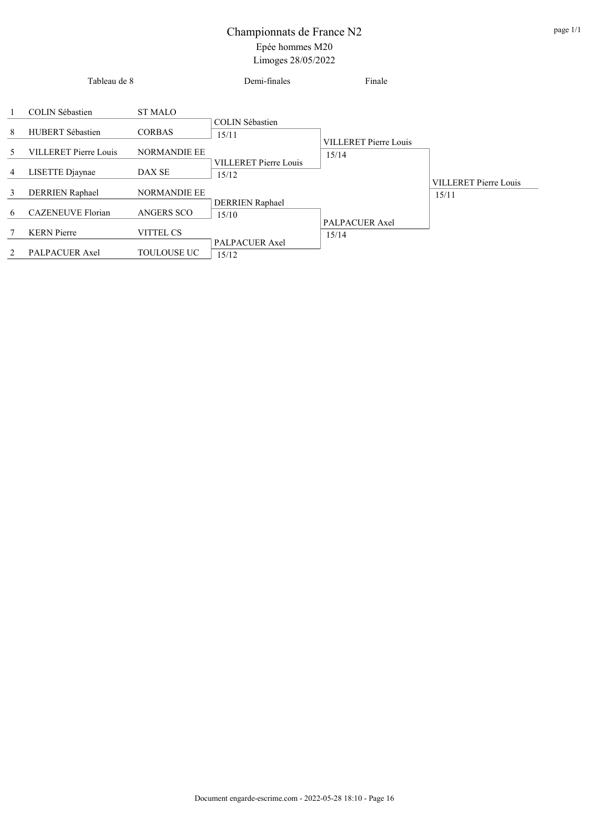|    | Tableau de 8                 |                     | Demi-finales                    | Finale                       |                                       |
|----|------------------------------|---------------------|---------------------------------|------------------------------|---------------------------------------|
|    | <b>COLIN Sébastien</b>       | <b>ST MALO</b>      | COLIN Sébastien                 |                              |                                       |
| 8  | HUBERT Sébastien             | <b>CORBAS</b>       | 15/11                           | <b>VILLERET Pierre Louis</b> |                                       |
| 5. | <b>VILLERET Pierre Louis</b> | <b>NORMANDIE EE</b> | <b>VILLERET Pierre Louis</b>    | 15/14                        |                                       |
| 4  | LISETTE Djaynae              | DAX SE              | 15/12                           |                              |                                       |
| 3  | DERRIEN Raphael              | <b>NORMANDIE EE</b> |                                 |                              | <b>VILLERET Pierre Louis</b><br>15/11 |
| 6  | <b>CAZENEUVE Florian</b>     | <b>ANGERS SCO</b>   | <b>DERRIEN</b> Raphael<br>15/10 |                              |                                       |
| 7  | <b>KERN</b> Pierre           | VITTEL CS           |                                 | PALPACUER Axel<br>15/14      |                                       |
| 2  | PALPACUER Axel               | <b>TOULOUSE UC</b>  | PALPACUER Axel<br>15/12         |                              |                                       |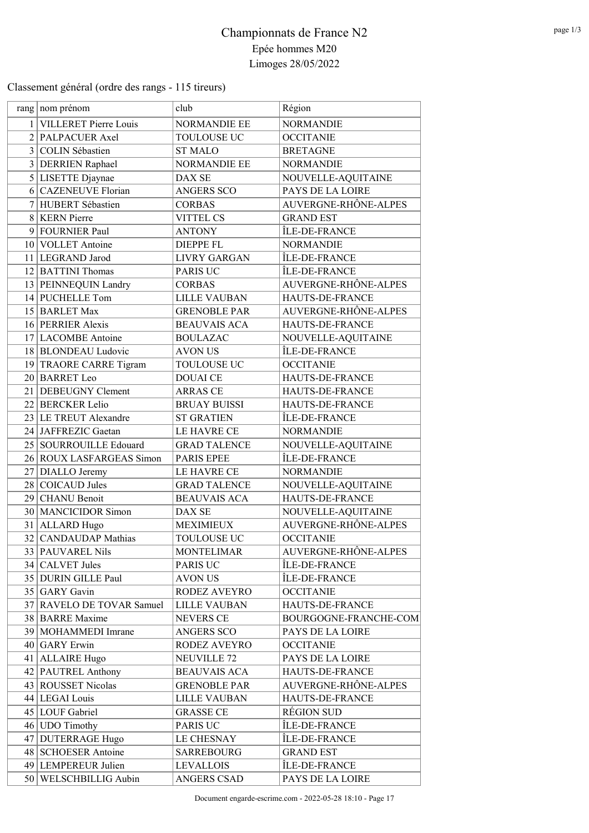Classement général (ordre des rangs - 115 tireurs)

| rang nom prénom           | club                | Région                |
|---------------------------|---------------------|-----------------------|
| 1 VILLERET Pierre Louis   | NORMANDIE EE        | <b>NORMANDIE</b>      |
| 2 PALPACUER Axel          | TOULOUSE UC         | <b>OCCITANIE</b>      |
| 3 COLIN Sébastien         | <b>ST MALO</b>      | <b>BRETAGNE</b>       |
| 3 DERRIEN Raphael         | <b>NORMANDIE EE</b> | <b>NORMANDIE</b>      |
| 5 LISETTE Djaynae         | DAX SE              | NOUVELLE-AQUITAINE    |
| 6 CAZENEUVE Florian       | <b>ANGERS SCO</b>   | PAYS DE LA LOIRE      |
| 7 HUBERT Sébastien        | <b>CORBAS</b>       | AUVERGNE-RHÔNE-ALPES  |
| 8 KERN Pierre             | <b>VITTEL CS</b>    | <b>GRAND EST</b>      |
| 9 FOURNIER Paul           | <b>ANTONY</b>       | ÎLE-DE-FRANCE         |
| 10 VOLLET Antoine         | <b>DIEPPE FL</b>    | <b>NORMANDIE</b>      |
| 11 LEGRAND Jarod          | <b>LIVRY GARGAN</b> | ÎLE-DE-FRANCE         |
| 12 BATTINI Thomas         | PARIS UC            | ÎLE-DE-FRANCE         |
| 13 PEINNEQUIN Landry      | <b>CORBAS</b>       | AUVERGNE-RHÔNE-ALPES  |
| 14 PUCHELLE Tom           | <b>LILLE VAUBAN</b> | HAUTS-DE-FRANCE       |
| 15 BARLET Max             | <b>GRENOBLE PAR</b> | AUVERGNE-RHÔNE-ALPES  |
| 16 PERRIER Alexis         | <b>BEAUVAIS ACA</b> | HAUTS-DE-FRANCE       |
| 17 LACOMBE Antoine        | <b>BOULAZAC</b>     | NOUVELLE-AQUITAINE    |
| 18 BLONDEAU Ludovic       | <b>AVON US</b>      | ÎLE-DE-FRANCE         |
| 19 TRAORE CARRE Tigram    | TOULOUSE UC         | <b>OCCITANIE</b>      |
| 20 BARRET Leo             | <b>DOUAI CE</b>     | HAUTS-DE-FRANCE       |
| 21 DEBEUGNY Clement       | <b>ARRAS CE</b>     | HAUTS-DE-FRANCE       |
| 22 BERCKER Lelio          | <b>BRUAY BUISSI</b> | HAUTS-DE-FRANCE       |
| 23 LE TREUT Alexandre     | <b>ST GRATIEN</b>   | ÎLE-DE-FRANCE         |
| 24 JAFFREZIC Gaetan       | LE HAVRE CE         | <b>NORMANDIE</b>      |
| 25   SOURROUILLE Edouard  | <b>GRAD TALENCE</b> | NOUVELLE-AQUITAINE    |
| 26 ROUX LASFARGEAS Simon  | PARIS EPEE          | ÎLE-DE-FRANCE         |
| 27 DIALLO Jeremy          | LE HAVRE CE         | <b>NORMANDIE</b>      |
| 28 COICAUD Jules          | <b>GRAD TALENCE</b> | NOUVELLE-AQUITAINE    |
| 29 CHANU Benoit           | <b>BEAUVAIS ACA</b> | HAUTS-DE-FRANCE       |
| 30   MANCICIDOR Simon     | DAX SE              | NOUVELLE-AQUITAINE    |
| 31 ALLARD Hugo            | <b>MEXIMIEUX</b>    | AUVERGNE-RHÔNE-ALPES  |
| 32 CANDAUDAP Mathias      | TOULOUSE UC         | <b>OCCITANIE</b>      |
| 33   PAUVAREL Nils        | <b>MONTELIMAR</b>   | AUVERGNE-RHÔNE-ALPES  |
| 34 CALVET Jules           | PARIS UC            | ÎLE-DE-FRANCE         |
| 35 DURIN GILLE Paul       | <b>AVON US</b>      | ÎLE-DE-FRANCE         |
| 35 GARY Gavin             | RODEZ AVEYRO        | <b>OCCITANIE</b>      |
| 37 RAVELO DE TOVAR Samuel | <b>LILLE VAUBAN</b> | HAUTS-DE-FRANCE       |
| 38 BARRE Maxime           | NEVERS CE           | BOURGOGNE-FRANCHE-COM |
| 39 MOHAMMEDI Imrane       | <b>ANGERS SCO</b>   | PAYS DE LA LOIRE      |
| $40$ GARY Erwin           | RODEZ AVEYRO        | <b>OCCITANIE</b>      |
| 41 ALLAIRE Hugo           | <b>NEUVILLE 72</b>  | PAYS DE LA LOIRE      |
| 42 PAUTREL Anthony        | <b>BEAUVAIS ACA</b> | HAUTS-DE-FRANCE       |
| 43 ROUSSET Nicolas        | <b>GRENOBLE PAR</b> | AUVERGNE-RHÔNE-ALPES  |
| 44 LEGAI Louis            | LILLE VAUBAN        | HAUTS-DE-FRANCE       |
| 45 LOUF Gabriel           | <b>GRASSE CE</b>    | <b>RÉGION SUD</b>     |
| 46 UDO Timothy            | PARIS UC            | ÎLE-DE-FRANCE         |
| 47 DUTERRAGE Hugo         | <b>LE CHESNAY</b>   | ÎLE-DE-FRANCE         |
| 48 SCHOESER Antoine       | <b>SARREBOURG</b>   | <b>GRAND EST</b>      |
| 49 LEMPEREUR Julien       | <b>LEVALLOIS</b>    | ÎLE-DE-FRANCE         |
| 50 WELSCHBILLIG Aubin     | ANGERS CSAD         | PAYS DE LA LOIRE      |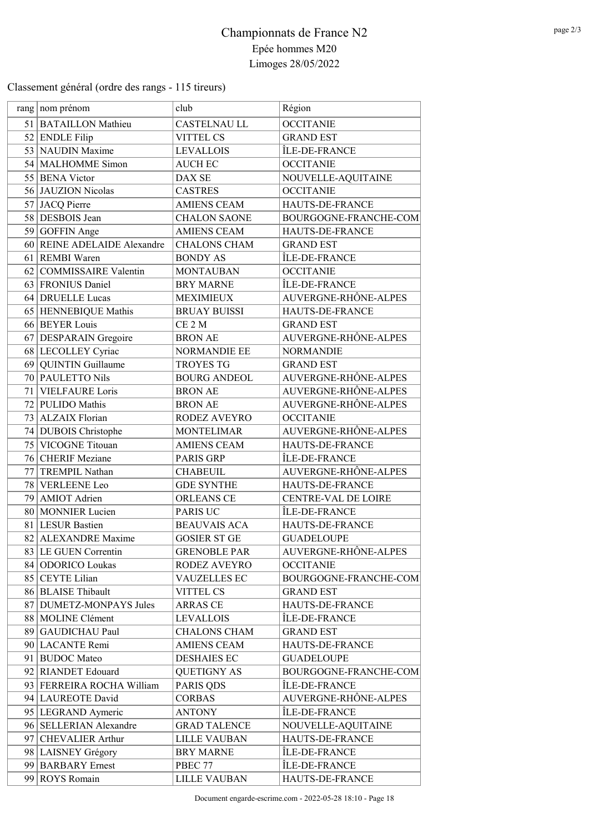Classement général (ordre des rangs - 115 tireurs)

|    | rang nom prénom             | club                | Région                     |
|----|-----------------------------|---------------------|----------------------------|
|    | 51 BATAILLON Mathieu        | <b>CASTELNAU LL</b> | <b>OCCITANIE</b>           |
|    | 52 ENDLE Filip              | <b>VITTEL CS</b>    | <b>GRAND EST</b>           |
|    | 53 NAUDIN Maxime            | <b>LEVALLOIS</b>    | ÎLE-DE-FRANCE              |
|    | 54 MALHOMME Simon           | <b>AUCH EC</b>      | <b>OCCITANIE</b>           |
|    | 55 BENA Victor              | DAX SE              | NOUVELLE-AQUITAINE         |
|    | 56 JAUZION Nicolas          | <b>CASTRES</b>      | <b>OCCITANIE</b>           |
|    | 57 JACQ Pierre              | <b>AMIENS CEAM</b>  | HAUTS-DE-FRANCE            |
|    | 58 DESBOIS Jean             | <b>CHALON SAONE</b> | BOURGOGNE-FRANCHE-COM      |
|    | 59 GOFFIN Ange              | <b>AMIENS CEAM</b>  | HAUTS-DE-FRANCE            |
|    | 60 REINE ADELAIDE Alexandre | <b>CHALONS CHAM</b> | <b>GRAND EST</b>           |
|    | 61 REMBI Waren              | <b>BONDY AS</b>     | ÎLE-DE-FRANCE              |
|    | 62 COMMISSAIRE Valentin     | <b>MONTAUBAN</b>    | <b>OCCITANIE</b>           |
|    | 63 FRONIUS Daniel           | <b>BRY MARNE</b>    | ÎLE-DE-FRANCE              |
|    | 64 DRUELLE Lucas            | <b>MEXIMIEUX</b>    | AUVERGNE-RHÔNE-ALPES       |
|    | 65 HENNEBIQUE Mathis        | <b>BRUAY BUISSI</b> | HAUTS-DE-FRANCE            |
|    | 66 BEYER Louis              | CE <sub>2</sub> M   | <b>GRAND EST</b>           |
|    | 67 DESPARAIN Gregoire       | <b>BRON AE</b>      | AUVERGNE-RHÔNE-ALPES       |
|    | 68 LECOLLEY Cyriac          | <b>NORMANDIE EE</b> | <b>NORMANDIE</b>           |
|    | 69 QUINTIN Guillaume        | <b>TROYES TG</b>    | <b>GRAND EST</b>           |
|    | 70 PAULETTO Nils            | <b>BOURG ANDEOL</b> | AUVERGNE-RHÔNE-ALPES       |
|    | 71 VIELFAURE Loris          | <b>BRON AE</b>      | AUVERGNE-RHÔNE-ALPES       |
|    | 72 PULIDO Mathis            | <b>BRON AE</b>      | AUVERGNE-RHÔNE-ALPES       |
|    | 73 ALZAIX Florian           | RODEZ AVEYRO        | <b>OCCITANIE</b>           |
|    | 74 DUBOIS Christophe        | <b>MONTELIMAR</b>   | AUVERGNE-RHÔNE-ALPES       |
|    | 75 VICOGNE Titouan          | <b>AMIENS CEAM</b>  | HAUTS-DE-FRANCE            |
|    | 76 CHERIF Meziane           | PARIS GRP           | ÎLE-DE-FRANCE              |
| 77 | TREMPIL Nathan              | <b>CHABEUIL</b>     | AUVERGNE-RHÔNE-ALPES       |
|    | 78 VERLEENE Leo             | <b>GDE SYNTHE</b>   | HAUTS-DE-FRANCE            |
|    | 79 AMIOT Adrien             | <b>ORLEANS CE</b>   | <b>CENTRE-VAL DE LOIRE</b> |
|    | 80 MONNIER Lucien           | PARIS UC            | ÎLE-DE-FRANCE              |
|    | 81 LESUR Bastien            | <b>BEAUVAIS ACA</b> | HAUTS-DE-FRANCE            |
|    | 82 ALEXANDRE Maxime         | <b>GOSIER ST GE</b> | <b>GUADELOUPE</b>          |
|    | 83 LE GUEN Correntin        | <b>GRENOBLE PAR</b> | AUVERGNE-RHÔNE-ALPES       |
|    | 84 ODORICO Loukas           | RODEZ AVEYRO        | <b>OCCITANIE</b>           |
|    | 85 CEYTE Lilian             | <b>VAUZELLES EC</b> | BOURGOGNE-FRANCHE-COM      |
|    | 86 BLAISE Thibault          | <b>VITTEL CS</b>    | <b>GRAND EST</b>           |
|    | 87 DUMETZ-MONPAYS Jules     | ARRAS CE            | HAUTS-DE-FRANCE            |
|    | 88   MOLINE Clément         | <b>LEVALLOIS</b>    | ÎLE-DE-FRANCE              |
|    | 89 GAUDICHAU Paul           | <b>CHALONS CHAM</b> | <b>GRAND EST</b>           |
|    | 90 LACANTE Remi             | <b>AMIENS CEAM</b>  | HAUTS-DE-FRANCE            |
|    | 91 BUDOC Mateo              | <b>DESHAIES EC</b>  | <b>GUADELOUPE</b>          |
|    | 92 RIANDET Edouard          | <b>QUETIGNY AS</b>  | BOURGOGNE-FRANCHE-COM      |
|    | 93 FERREIRA ROCHA William   | PARIS QDS           | ÎLE-DE-FRANCE              |
|    | 94 LAUREOTE David           | <b>CORBAS</b>       | AUVERGNE-RHÔNE-ALPES       |
|    | 95   LEGRAND Aymeric        | <b>ANTONY</b>       | ÎLE-DE-FRANCE              |
|    | 96 SELLERIAN Alexandre      | <b>GRAD TALENCE</b> | NOUVELLE-AQUITAINE         |
|    | 97 CHEVALIER Arthur         | <b>LILLE VAUBAN</b> | HAUTS-DE-FRANCE            |
|    | 98 LAISNEY Grégory          | <b>BRY MARNE</b>    | ÎLE-DE-FRANCE              |
|    | 99 BARBARY Ernest           | PBEC 77             | ÎLE-DE-FRANCE              |
|    | 99 ROYS Romain              | <b>LILLE VAUBAN</b> | HAUTS-DE-FRANCE            |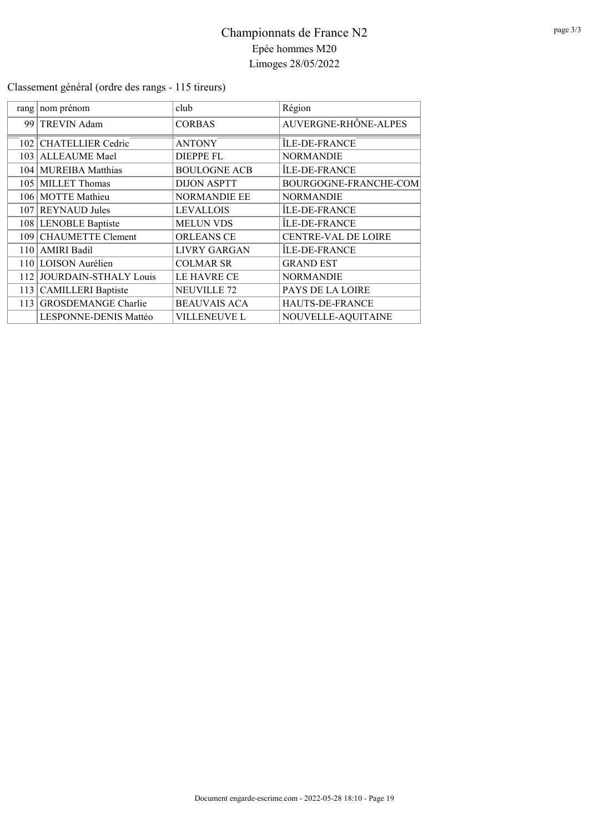### Classement général (ordre des rangs - 115 tireurs)

| rang   nom prénom                  | club                | Région                     |
|------------------------------------|---------------------|----------------------------|
| 99 TREVIN Adam                     | <b>CORBAS</b>       | AUVERGNE-RHÔNE-ALPES       |
| 102 <sup>T</sup> CHATELLIER Cedric | <b>ANTONY</b>       | ÎLE-DE-FRANCE              |
| 103 ALLEAUME Mael                  | <b>DIEPPE FL</b>    | <b>NORMANDIE</b>           |
| 104   MUREIBA Matthias             | <b>BOULOGNE ACB</b> | ÎLE-DE-FRANCE              |
| 105 MILLET Thomas                  | <b>DIJON ASPTT</b>  | BOURGOGNE-FRANCHE-COM      |
| 106 MOTTE Mathieu                  | <b>NORMANDIE EE</b> | <b>NORMANDIE</b>           |
| 107 REYNAUD Jules                  | <b>LEVALLOIS</b>    | ÎLE-DE-FRANCE              |
| 108 LENOBLE Baptiste               | <b>MELUN VDS</b>    | ÎLE-DE-FRANCE              |
| 109 CHAUMETTE Clement              | <b>ORLEANS CE</b>   | <b>CENTRE-VAL DE LOIRE</b> |
| 110   AMIRI Badil                  | <b>LIVRY GARGAN</b> | ÎLE-DE-FRANCE              |
| 110 LOISON Aurélien                | <b>COLMAR SR</b>    | <b>GRAND EST</b>           |
| 112 JOURDAIN-STHALY Louis          | LE HAVRE CE         | <b>NORMANDIE</b>           |
| 113 CAMILLERI Baptiste             | <b>NEUVILLE 72</b>  | <b>PAYS DE LA LOIRE</b>    |
| 113 GROSDEMANGE Charlie            | <b>BEAUVAIS ACA</b> | HAUTS-DE-FRANCE            |
| LESPONNE-DENIS Mattéo              | VILLENEUVE L        | NOUVELLE-AQUITAINE         |